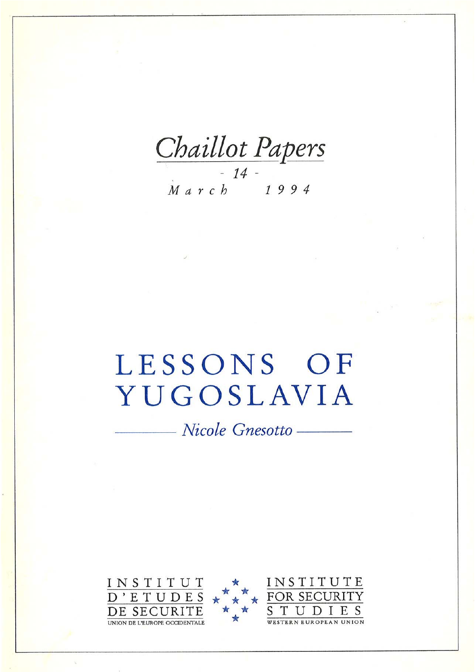Chaillot Papers

# LESSONS OF YUGOSLAVIA

- Nicole Gnesotto -

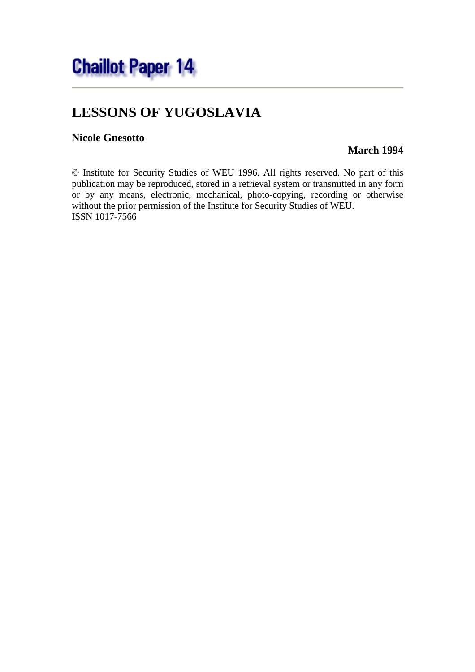

# **LESSONS OF YUGOSLAVIA**

#### **Nicole Gnesotto**

#### **March 1994**

© Institute for Security Studies of WEU 1996. All rights reserved. No part of this publication may be reproduced, stored in a retrieval system or transmitted in any form or by any means, electronic, mechanical, photo-copying, recording or otherwise without the prior permission of the Institute for Security Studies of WEU. ISSN 1017-7566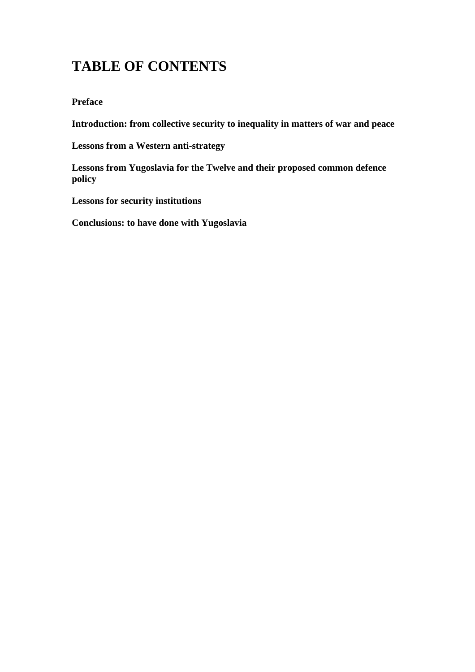## **TABLE OF CONTENTS**

#### **Preface**

**Introduction: from collective security to inequality in matters of war and peace**

**Lessons from a Western anti-strategy**

**Lessons from Yugoslavia for the Twelve and their proposed common defence policy**

**Lessons for security institutions**

**Conclusions: to have done with Yugoslavia**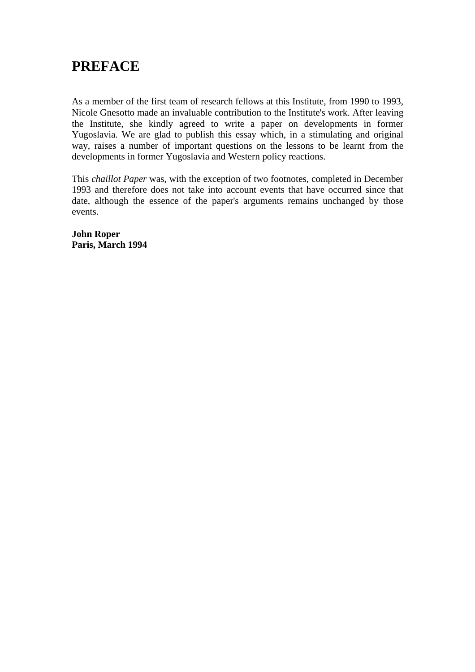### **PREFACE**

As a member of the first team of research fellows at this Institute, from 1990 to 1993, Nicole Gnesotto made an invaluable contribution to the Institute's work. After leaving the Institute, she kindly agreed to write a paper on developments in former Yugoslavia. We are glad to publish this essay which, in a stimulating and original way, raises a number of important questions on the lessons to be learnt from the developments in former Yugoslavia and Western policy reactions.

This *chaillot Paper* was, with the exception of two footnotes, completed in December 1993 and therefore does not take into account events that have occurred since that date, although the essence of the paper's arguments remains unchanged by those events.

**John Roper Paris, March 1994**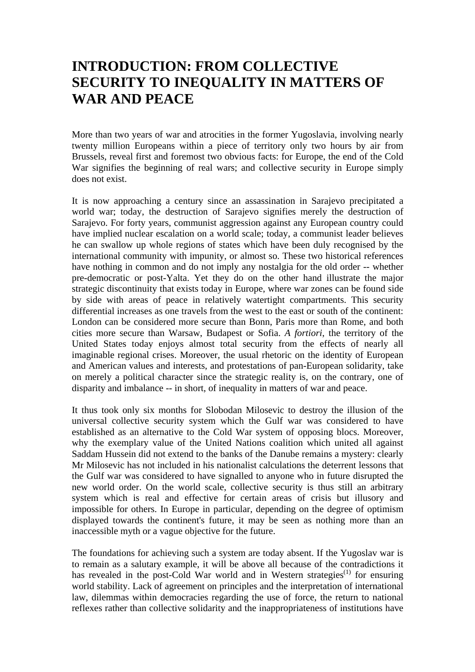### **INTRODUCTION: FROM COLLECTIVE SECURITY TO INEQUALITY IN MATTERS OF WAR AND PEACE**

More than two years of war and atrocities in the former Yugoslavia, involving nearly twenty million Europeans within a piece of territory only two hours by air from Brussels, reveal first and foremost two obvious facts: for Europe, the end of the Cold War signifies the beginning of real wars; and collective security in Europe simply does not exist.

It is now approaching a century since an assassination in Sarajevo precipitated a world war; today, the destruction of Sarajevo signifies merely the destruction of Sarajevo. For forty years, communist aggression against any European country could have implied nuclear escalation on a world scale; today, a communist leader believes he can swallow up whole regions of states which have been duly recognised by the international community with impunity, or almost so. These two historical references have nothing in common and do not imply any nostalgia for the old order -- whether pre-democratic or post-Yalta. Yet they do on the other hand illustrate the major strategic discontinuity that exists today in Europe, where war zones can be found side by side with areas of peace in relatively watertight compartments. This security differential increases as one travels from the west to the east or south of the continent: London can be considered more secure than Bonn, Paris more than Rome, and both cities more secure than Warsaw, Budapest or Sofia. *A fortiori*, the territory of the United States today enjoys almost total security from the effects of nearly all imaginable regional crises. Moreover, the usual rhetoric on the identity of European and American values and interests, and protestations of pan-European solidarity, take on merely a political character since the strategic reality is, on the contrary, one of disparity and imbalance -- in short, of inequality in matters of war and peace.

It thus took only six months for Slobodan Milosevic to destroy the illusion of the universal collective security system which the Gulf war was considered to have established as an alternative to the Cold War system of opposing blocs. Moreover, why the exemplary value of the United Nations coalition which united all against Saddam Hussein did not extend to the banks of the Danube remains a mystery: clearly Mr Milosevic has not included in his nationalist calculations the deterrent lessons that the Gulf war was considered to have signalled to anyone who in future disrupted the new world order. On the world scale, collective security is thus still an arbitrary system which is real and effective for certain areas of crisis but illusory and impossible for others. In Europe in particular, depending on the degree of optimism displayed towards the continent's future, it may be seen as nothing more than an inaccessible myth or a vague objective for the future.

The foundations for achieving such a system are today absent. If the Yugoslav war is to remain as a salutary example, it will be above all because of the contradictions it has revealed in the post-Cold War world and in Western strategies<sup> $(1)$ </sup> for ensuring world stability. Lack of agreement on principles and the interpretation of international law, dilemmas within democracies regarding the use of force, the return to national reflexes rather than collective solidarity and the inappropriateness of institutions have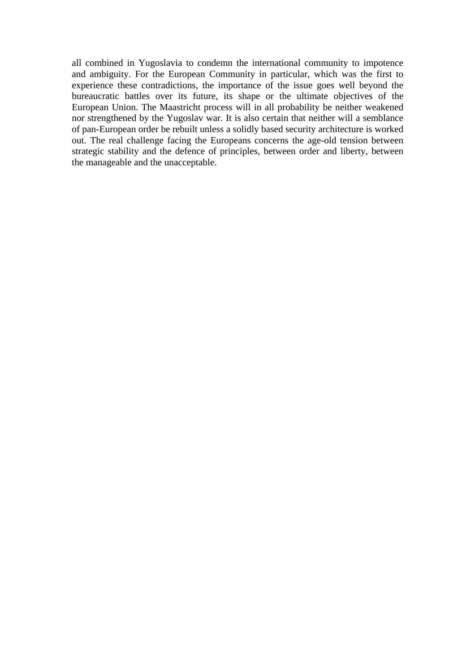all combined in Yugoslavia to condemn the international community to impotence and ambiguity. For the European Community in particular, which was the first to experience these contradictions, the importance of the issue goes well beyond the bureaucratic battles over its future, its shape or the ultimate objectives of the European Union. The Maastricht process will in all probability be neither weakened nor strengthened by the Yugoslav war. It is also certain that neither will a semblance of pan-European order be rebuilt unless a solidly based security architecture is worked out. The real challenge facing the Europeans concerns the age-old tension between strategic stability and the defence of principles, between order and liberty, between the manageable and the unacceptable.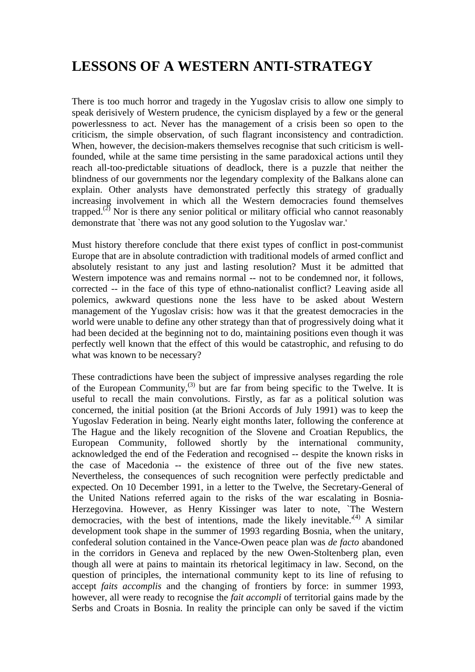## **LESSONS OF A WESTERN ANTI-STRATEGY**

There is too much horror and tragedy in the Yugoslav crisis to allow one simply to speak derisively of Western prudence, the cynicism displayed by a few or the general powerlessness to act. Never has the management of a crisis been so open to the criticism, the simple observation, of such flagrant inconsistency and contradiction. When, however, the decision-makers themselves recognise that such criticism is wellfounded, while at the same time persisting in the same paradoxical actions until they reach all-too-predictable situations of deadlock, there is a puzzle that neither the blindness of our governments nor the legendary complexity of the Balkans alone can explain. Other analysts have demonstrated perfectly this strategy of gradually increasing involvement in which all the Western democracies found themselves trapped.<sup>(2)</sup> Nor is there any senior political or military official who cannot reasonably demonstrate that `there was not any good solution to the Yugoslav war.'

Must history therefore conclude that there exist types of conflict in post-communist Europe that are in absolute contradiction with traditional models of armed conflict and absolutely resistant to any just and lasting resolution? Must it be admitted that Western impotence was and remains normal -- not to be condemned nor, it follows, corrected -- in the face of this type of ethno-nationalist conflict? Leaving aside all polemics, awkward questions none the less have to be asked about Western management of the Yugoslav crisis: how was it that the greatest democracies in the world were unable to define any other strategy than that of progressively doing what it had been decided at the beginning not to do, maintaining positions even though it was perfectly well known that the effect of this would be catastrophic, and refusing to do what was known to be necessary?

These contradictions have been the subject of impressive analyses regarding the role of the European Community,<sup>(3)</sup> but are far from being specific to the Twelve. It is useful to recall the main convolutions. Firstly, as far as a political solution was concerned, the initial position (at the Brioni Accords of July 1991) was to keep the Yugoslav Federation in being. Nearly eight months later, following the conference at The Hague and the likely recognition of the Slovene and Croatian Republics, the European Community, followed shortly by the international community, acknowledged the end of the Federation and recognised -- despite the known risks in the case of Macedonia -- the existence of three out of the five new states. Nevertheless, the consequences of such recognition were perfectly predictable and expected. On 10 December 1991, in a letter to the Twelve, the Secretary-General of the United Nations referred again to the risks of the war escalating in Bosnia-Herzegovina. However, as Henry Kissinger was later to note, `The Western democracies, with the best of intentions, made the likely inevitable.<sup> $(4)$ </sup> A similar development took shape in the summer of 1993 regarding Bosnia, when the unitary, confederal solution contained in the Vance-Owen peace plan was *de facto* abandoned in the corridors in Geneva and replaced by the new Owen-Stoltenberg plan, even though all were at pains to maintain its rhetorical legitimacy in law. Second, on the question of principles, the international community kept to its line of refusing to accept *faits accomplis* and the changing of frontiers by force: in summer 1993, however, all were ready to recognise the *fait accompli* of territorial gains made by the Serbs and Croats in Bosnia. In reality the principle can only be saved if the victim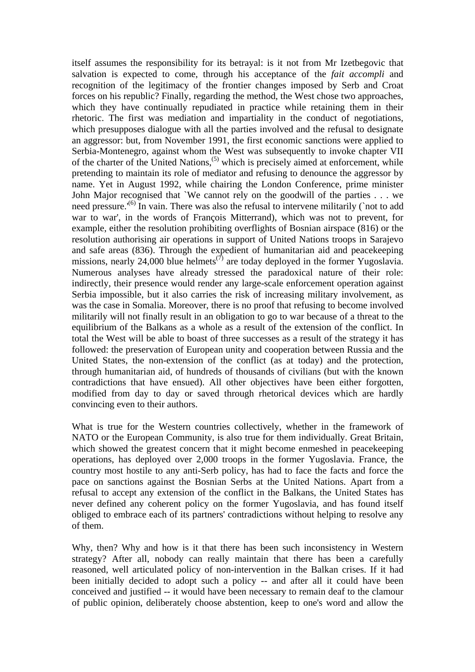itself assumes the responsibility for its betrayal: is it not from Mr Izetbegovic that salvation is expected to come, through his acceptance of the *fait accompli* and recognition of the legitimacy of the frontier changes imposed by Serb and Croat forces on his republic? Finally, regarding the method, the West chose two approaches, which they have continually repudiated in practice while retaining them in their rhetoric. The first was mediation and impartiality in the conduct of negotiations, which presupposes dialogue with all the parties involved and the refusal to designate an aggressor: but, from November 1991, the first economic sanctions were applied to Serbia-Montenegro, against whom the West was subsequently to invoke chapter VII of the charter of the United Nations,  $(5)$  which is precisely aimed at enforcement, while pretending to maintain its role of mediator and refusing to denounce the aggressor by name. Yet in August 1992, while chairing the London Conference, prime minister John Major recognised that `We cannot rely on the goodwill of the parties . . . we need pressure.<sup>(6)</sup> In vain. There was also the refusal to intervene militarily (`not to add war to war', in the words of François Mitterrand), which was not to prevent, for example, either the resolution prohibiting overflights of Bosnian airspace (816) or the resolution authorising air operations in support of United Nations troops in Sarajevo and safe areas (836). Through the expedient of humanitarian aid and peacekeeping missions, nearly 24,000 blue helmets<sup> $(7)$ </sup> are today deployed in the former Yugoslavia. Numerous analyses have already stressed the paradoxical nature of their role: indirectly, their presence would render any large-scale enforcement operation against Serbia impossible, but it also carries the risk of increasing military involvement, as was the case in Somalia. Moreover, there is no proof that refusing to become involved militarily will not finally result in an obligation to go to war because of a threat to the equilibrium of the Balkans as a whole as a result of the extension of the conflict. In total the West will be able to boast of three successes as a result of the strategy it has followed: the preservation of European unity and cooperation between Russia and the United States, the non-extension of the conflict (as at today) and the protection, through humanitarian aid, of hundreds of thousands of civilians (but with the known contradictions that have ensued). All other objectives have been either forgotten, modified from day to day or saved through rhetorical devices which are hardly convincing even to their authors.

What is true for the Western countries collectively, whether in the framework of NATO or the European Community, is also true for them individually. Great Britain, which showed the greatest concern that it might become enmeshed in peacekeeping operations, has deployed over 2,000 troops in the former Yugoslavia. France, the country most hostile to any anti-Serb policy, has had to face the facts and force the pace on sanctions against the Bosnian Serbs at the United Nations. Apart from a refusal to accept any extension of the conflict in the Balkans, the United States has never defined any coherent policy on the former Yugoslavia, and has found itself obliged to embrace each of its partners' contradictions without helping to resolve any of them.

Why, then? Why and how is it that there has been such inconsistency in Western strategy? After all, nobody can really maintain that there has been a carefully reasoned, well articulated policy of non-intervention in the Balkan crises. If it had been initially decided to adopt such a policy -- and after all it could have been conceived and justified -- it would have been necessary to remain deaf to the clamour of public opinion, deliberately choose abstention, keep to one's word and allow the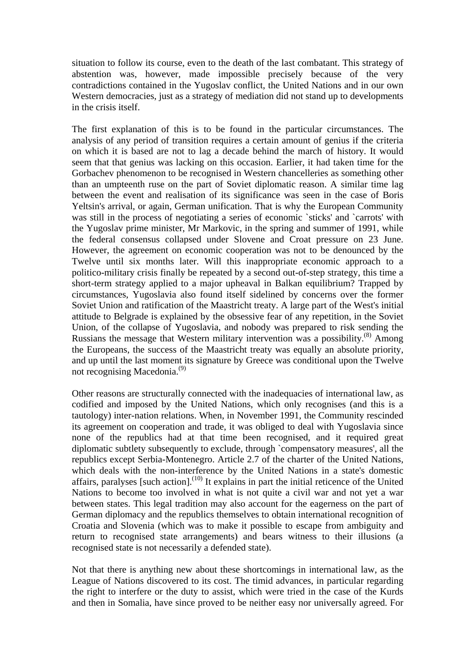situation to follow its course, even to the death of the last combatant. This strategy of abstention was, however, made impossible precisely because of the very contradictions contained in the Yugoslav conflict, the United Nations and in our own Western democracies, just as a strategy of mediation did not stand up to developments in the crisis itself.

The first explanation of this is to be found in the particular circumstances. The analysis of any period of transition requires a certain amount of genius if the criteria on which it is based are not to lag a decade behind the march of history. It would seem that that genius was lacking on this occasion. Earlier, it had taken time for the Gorbachev phenomenon to be recognised in Western chancelleries as something other than an umpteenth ruse on the part of Soviet diplomatic reason. A similar time lag between the event and realisation of its significance was seen in the case of Boris Yeltsin's arrival, or again, German unification. That is why the European Community was still in the process of negotiating a series of economic `sticks' and `carrots' with the Yugoslav prime minister, Mr Markovic, in the spring and summer of 1991, while the federal consensus collapsed under Slovene and Croat pressure on 23 June. However, the agreement on economic cooperation was not to be denounced by the Twelve until six months later. Will this inappropriate economic approach to a politico-military crisis finally be repeated by a second out-of-step strategy, this time a short-term strategy applied to a major upheaval in Balkan equilibrium? Trapped by circumstances, Yugoslavia also found itself sidelined by concerns over the former Soviet Union and ratification of the Maastricht treaty. A large part of the West's initial attitude to Belgrade is explained by the obsessive fear of any repetition, in the Soviet Union, of the collapse of Yugoslavia, and nobody was prepared to risk sending the Russians the message that Western military intervention was a possibility.<sup> $(8)$ </sup> Among the Europeans, the success of the Maastricht treaty was equally an absolute priority, and up until the last moment its signature by Greece was conditional upon the Twelve not recognising Macedonia.<sup>(9)</sup>

Other reasons are structurally connected with the inadequacies of international law, as codified and imposed by the United Nations, which only recognises (and this is a tautology) inter-nation relations. When, in November 1991, the Community rescinded its agreement on cooperation and trade, it was obliged to deal with Yugoslavia since none of the republics had at that time been recognised, and it required great diplomatic subtlety subsequently to exclude, through `compensatory measures', all the republics except Serbia-Montenegro. Article 2.7 of the charter of the United Nations, which deals with the non-interference by the United Nations in a state's domestic affairs, paralyses [such action].<sup> $(10)$ </sup> It explains in part the initial reticence of the United Nations to become too involved in what is not quite a civil war and not yet a war between states. This legal tradition may also account for the eagerness on the part of German diplomacy and the republics themselves to obtain international recognition of Croatia and Slovenia (which was to make it possible to escape from ambiguity and return to recognised state arrangements) and bears witness to their illusions (a recognised state is not necessarily a defended state).

Not that there is anything new about these shortcomings in international law, as the League of Nations discovered to its cost. The timid advances, in particular regarding the right to interfere or the duty to assist, which were tried in the case of the Kurds and then in Somalia, have since proved to be neither easy nor universally agreed. For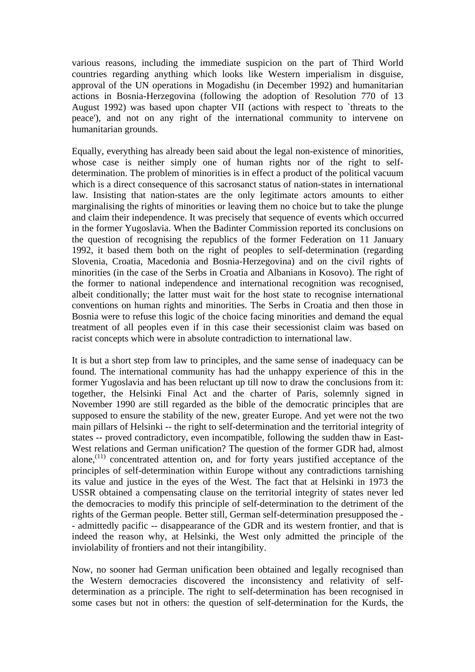various reasons, including the immediate suspicion on the part of Third World countries regarding anything which looks like Western imperialism in disguise, approval of the UN operations in Mogadishu (in December 1992) and humanitarian actions in Bosnia-Herzegovina (following the adoption of Resolution 770 of 13 August 1992) was based upon chapter VII (actions with respect to `threats to the peace'), and not on any right of the international community to intervene on humanitarian grounds.

Equally, everything has already been said about the legal non-existence of minorities, whose case is neither simply one of human rights nor of the right to selfdetermination. The problem of minorities is in effect a product of the political vacuum which is a direct consequence of this sacrosanct status of nation-states in international law. Insisting that nation-states are the only legitimate actors amounts to either marginalising the rights of minorities or leaving them no choice but to take the plunge and claim their independence. It was precisely that sequence of events which occurred in the former Yugoslavia. When the Badinter Commission reported its conclusions on the question of recognising the republics of the former Federation on 11 January 1992, it based them both on the right of peoples to self-determination (regarding Slovenia, Croatia, Macedonia and Bosnia-Herzegovina) and on the civil rights of minorities (in the case of the Serbs in Croatia and Albanians in Kosovo). The right of the former to national independence and international recognition was recognised, albeit conditionally; the latter must wait for the host state to recognise international conventions on human rights and minorities. The Serbs in Croatia and then those in Bosnia were to refuse this logic of the choice facing minorities and demand the equal treatment of all peoples even if in this case their secessionist claim was based on racist concepts which were in absolute contradiction to international law.

It is but a short step from law to principles, and the same sense of inadequacy can be found. The international community has had the unhappy experience of this in the former Yugoslavia and has been reluctant up till now to draw the conclusions from it: together, the Helsinki Final Act and the charter of Paris, solemnly signed in November 1990 are still regarded as the bible of the democratic principles that are supposed to ensure the stability of the new, greater Europe. And yet were not the two main pillars of Helsinki -- the right to self-determination and the territorial integrity of states -- proved contradictory, even incompatible, following the sudden thaw in East-West relations and German unification? The question of the former GDR had, almost alone, $(11)$  concentrated attention on, and for forty years justified acceptance of the principles of self-determination within Europe without any contradictions tarnishing its value and justice in the eyes of the West. The fact that at Helsinki in 1973 the USSR obtained a compensating clause on the territorial integrity of states never led the democracies to modify this principle of self-determination to the detriment of the rights of the German people. Better still, German self-determination presupposed the - - admittedly pacific -- disappearance of the GDR and its western frontier, and that is indeed the reason why, at Helsinki, the West only admitted the principle of the inviolability of frontiers and not their intangibility.

Now, no sooner had German unification been obtained and legally recognised than the Western democracies discovered the inconsistency and relativity of selfdetermination as a principle. The right to self-determination has been recognised in some cases but not in others: the question of self-determination for the Kurds, the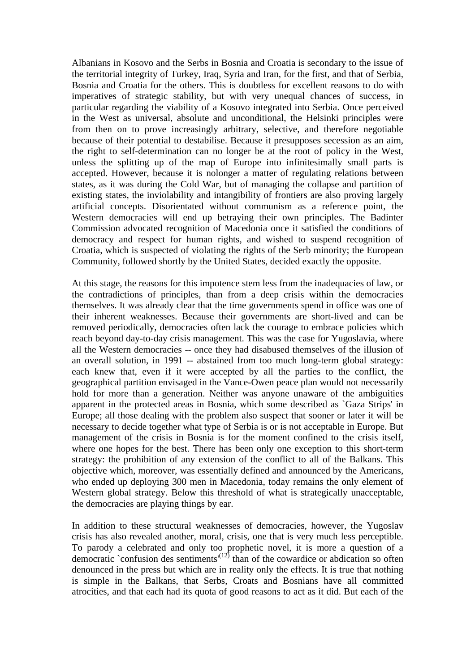Albanians in Kosovo and the Serbs in Bosnia and Croatia is secondary to the issue of the territorial integrity of Turkey, Iraq, Syria and Iran, for the first, and that of Serbia, Bosnia and Croatia for the others. This is doubtless for excellent reasons to do with imperatives of strategic stability, but with very unequal chances of success, in particular regarding the viability of a Kosovo integrated into Serbia. Once perceived in the West as universal, absolute and unconditional, the Helsinki principles were from then on to prove increasingly arbitrary, selective, and therefore negotiable because of their potential to destabilise. Because it presupposes secession as an aim, the right to self-determination can no longer be at the root of policy in the West, unless the splitting up of the map of Europe into infinitesimally small parts is accepted. However, because it is nolonger a matter of regulating relations between states, as it was during the Cold War, but of managing the collapse and partition of existing states, the inviolability and intangibility of frontiers are also proving largely artificial concepts. Disorientated without communism as a reference point, the Western democracies will end up betraying their own principles. The Badinter Commission advocated recognition of Macedonia once it satisfied the conditions of democracy and respect for human rights, and wished to suspend recognition of Croatia, which is suspected of violating the rights of the Serb minority; the European Community, followed shortly by the United States, decided exactly the opposite.

At this stage, the reasons for this impotence stem less from the inadequacies of law, or the contradictions of principles, than from a deep crisis within the democracies themselves. It was already clear that the time governments spend in office was one of their inherent weaknesses. Because their governments are short-lived and can be removed periodically, democracies often lack the courage to embrace policies which reach beyond day-to-day crisis management. This was the case for Yugoslavia, where all the Western democracies -- once they had disabused themselves of the illusion of an overall solution, in 1991 -- abstained from too much long-term global strategy: each knew that, even if it were accepted by all the parties to the conflict, the geographical partition envisaged in the Vance-Owen peace plan would not necessarily hold for more than a generation. Neither was anyone unaware of the ambiguities apparent in the protected areas in Bosnia, which some described as `Gaza Strips' in Europe; all those dealing with the problem also suspect that sooner or later it will be necessary to decide together what type of Serbia is or is not acceptable in Europe. But management of the crisis in Bosnia is for the moment confined to the crisis itself, where one hopes for the best. There has been only one exception to this short-term strategy: the prohibition of any extension of the conflict to all of the Balkans. This objective which, moreover, was essentially defined and announced by the Americans, who ended up deploying 300 men in Macedonia, today remains the only element of Western global strategy. Below this threshold of what is strategically unacceptable, the democracies are playing things by ear.

In addition to these structural weaknesses of democracies, however, the Yugoslav crisis has also revealed another, moral, crisis, one that is very much less perceptible. To parody a celebrated and only too prophetic novel, it is more a question of a democratic `confusion des sentiments'<sup>(12)</sup> than of the cowardice or abdication so often denounced in the press but which are in reality only the effects. It is true that nothing is simple in the Balkans, that Serbs, Croats and Bosnians have all committed atrocities, and that each had its quota of good reasons to act as it did. But each of the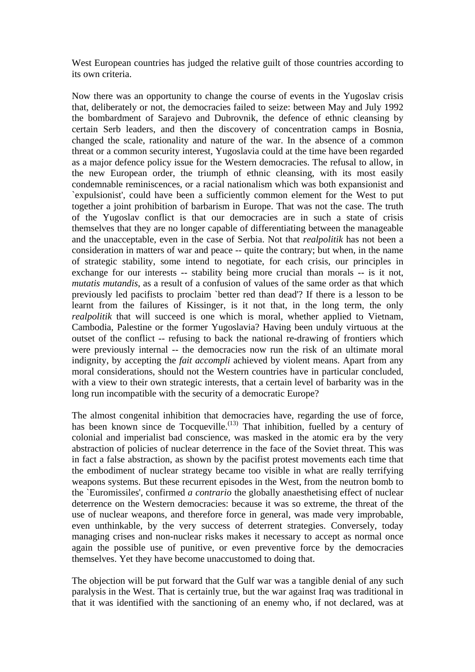West European countries has judged the relative guilt of those countries according to its own criteria.

Now there was an opportunity to change the course of events in the Yugoslav crisis that, deliberately or not, the democracies failed to seize: between May and July 1992 the bombardment of Sarajevo and Dubrovnik, the defence of ethnic cleansing by certain Serb leaders, and then the discovery of concentration camps in Bosnia, changed the scale, rationality and nature of the war. In the absence of a common threat or a common security interest, Yugoslavia could at the time have been regarded as a major defence policy issue for the Western democracies. The refusal to allow, in the new European order, the triumph of ethnic cleansing, with its most easily condemnable reminiscences, or a racial nationalism which was both expansionist and `expulsionist', could have been a sufficiently common element for the West to put together a joint prohibition of barbarism in Europe. That was not the case. The truth of the Yugoslav conflict is that our democracies are in such a state of crisis themselves that they are no longer capable of differentiating between the manageable and the unacceptable, even in the case of Serbia. Not that *realpolitik* has not been a consideration in matters of war and peace -- quite the contrary; but when, in the name of strategic stability, some intend to negotiate, for each crisis, our principles in exchange for our interests -- stability being more crucial than morals -- is it not, *mutatis mutandis*, as a result of a confusion of values of the same order as that which previously led pacifists to proclaim `better red than dead'? If there is a lesson to be learnt from the failures of Kissinger, is it not that, in the long term, the only *realpolitik* that will succeed is one which is moral, whether applied to Vietnam, Cambodia, Palestine or the former Yugoslavia? Having been unduly virtuous at the outset of the conflict -- refusing to back the national re-drawing of frontiers which were previously internal -- the democracies now run the risk of an ultimate moral indignity, by accepting the *fait accompli* achieved by violent means. Apart from any moral considerations, should not the Western countries have in particular concluded, with a view to their own strategic interests, that a certain level of barbarity was in the long run incompatible with the security of a democratic Europe?

The almost congenital inhibition that democracies have, regarding the use of force, has been known since de Tocqueville.<sup>(13)</sup> That inhibition, fuelled by a century of colonial and imperialist bad conscience, was masked in the atomic era by the very abstraction of policies of nuclear deterrence in the face of the Soviet threat. This was in fact a false abstraction, as shown by the pacifist protest movements each time that the embodiment of nuclear strategy became too visible in what are really terrifying weapons systems. But these recurrent episodes in the West, from the neutron bomb to the `Euromissiles', confirmed *a contrario* the globally anaesthetising effect of nuclear deterrence on the Western democracies: because it was so extreme, the threat of the use of nuclear weapons, and therefore force in general, was made very improbable, even unthinkable, by the very success of deterrent strategies. Conversely, today managing crises and non-nuclear risks makes it necessary to accept as normal once again the possible use of punitive, or even preventive force by the democracies themselves. Yet they have become unaccustomed to doing that.

The objection will be put forward that the Gulf war was a tangible denial of any such paralysis in the West. That is certainly true, but the war against Iraq was traditional in that it was identified with the sanctioning of an enemy who, if not declared, was at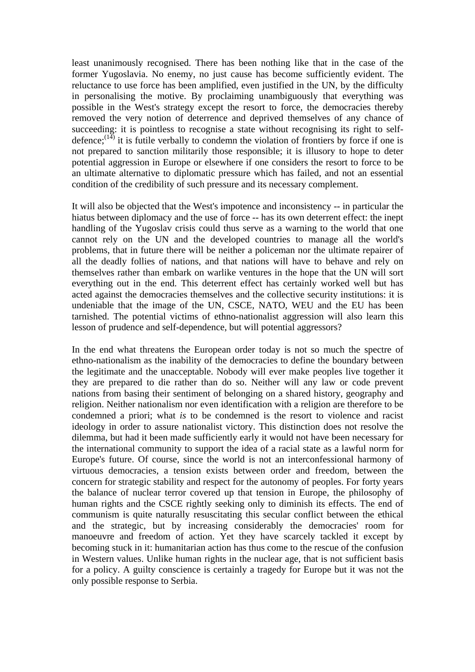least unanimously recognised. There has been nothing like that in the case of the former Yugoslavia. No enemy, no just cause has become sufficiently evident. The reluctance to use force has been amplified, even justified in the UN, by the difficulty in personalising the motive. By proclaiming unambiguously that everything was possible in the West's strategy except the resort to force, the democracies thereby removed the very notion of deterrence and deprived themselves of any chance of succeeding: it is pointless to recognise a state without recognising its right to selfdefence;<sup> $(14)$ </sup> it is futile verbally to condemn the violation of frontiers by force if one is not prepared to sanction militarily those responsible; it is illusory to hope to deter potential aggression in Europe or elsewhere if one considers the resort to force to be an ultimate alternative to diplomatic pressure which has failed, and not an essential condition of the credibility of such pressure and its necessary complement.

It will also be objected that the West's impotence and inconsistency -- in particular the hiatus between diplomacy and the use of force -- has its own deterrent effect: the inept handling of the Yugoslav crisis could thus serve as a warning to the world that one cannot rely on the UN and the developed countries to manage all the world's problems, that in future there will be neither a policeman nor the ultimate repairer of all the deadly follies of nations, and that nations will have to behave and rely on themselves rather than embark on warlike ventures in the hope that the UN will sort everything out in the end. This deterrent effect has certainly worked well but has acted against the democracies themselves and the collective security institutions: it is undeniable that the image of the UN, CSCE, NATO, WEU and the EU has been tarnished. The potential victims of ethno-nationalist aggression will also learn this lesson of prudence and self-dependence, but will potential aggressors?

In the end what threatens the European order today is not so much the spectre of ethno-nationalism as the inability of the democracies to define the boundary between the legitimate and the unacceptable. Nobody will ever make peoples live together it they are prepared to die rather than do so. Neither will any law or code prevent nations from basing their sentiment of belonging on a shared history, geography and religion. Neither nationalism nor even identification with a religion are therefore to be condemned a priori; what *is* to be condemned is the resort to violence and racist ideology in order to assure nationalist victory. This distinction does not resolve the dilemma, but had it been made sufficiently early it would not have been necessary for the international community to support the idea of a racial state as a lawful norm for Europe's future. Of course, since the world is not an interconfessional harmony of virtuous democracies, a tension exists between order and freedom, between the concern for strategic stability and respect for the autonomy of peoples. For forty years the balance of nuclear terror covered up that tension in Europe, the philosophy of human rights and the CSCE rightly seeking only to diminish its effects. The end of communism is quite naturally resuscitating this secular conflict between the ethical and the strategic, but by increasing considerably the democracies' room for manoeuvre and freedom of action. Yet they have scarcely tackled it except by becoming stuck in it: humanitarian action has thus come to the rescue of the confusion in Western values. Unlike human rights in the nuclear age, that is not sufficient basis for a policy. A guilty conscience is certainly a tragedy for Europe but it was not the only possible response to Serbia.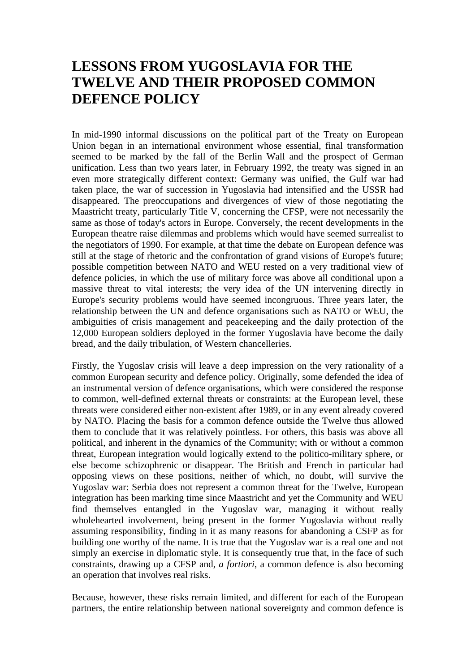#### **LESSONS FROM YUGOSLAVIA FOR THE TWELVE AND THEIR PROPOSED COMMON DEFENCE POLICY**

In mid-1990 informal discussions on the political part of the Treaty on European Union began in an international environment whose essential, final transformation seemed to be marked by the fall of the Berlin Wall and the prospect of German unification. Less than two years later, in February 1992, the treaty was signed in an even more strategically different context: Germany was unified, the Gulf war had taken place, the war of succession in Yugoslavia had intensified and the USSR had disappeared. The preoccupations and divergences of view of those negotiating the Maastricht treaty, particularly Title V, concerning the CFSP, were not necessarily the same as those of today's actors in Europe. Conversely, the recent developments in the European theatre raise dilemmas and problems which would have seemed surrealist to the negotiators of 1990. For example, at that time the debate on European defence was still at the stage of rhetoric and the confrontation of grand visions of Europe's future; possible competition between NATO and WEU rested on a very traditional view of defence policies, in which the use of military force was above all conditional upon a massive threat to vital interests; the very idea of the UN intervening directly in Europe's security problems would have seemed incongruous. Three years later, the relationship between the UN and defence organisations such as NATO or WEU, the ambiguities of crisis management and peacekeeping and the daily protection of the 12,000 European soldiers deployed in the former Yugoslavia have become the daily bread, and the daily tribulation, of Western chancelleries.

Firstly, the Yugoslav crisis will leave a deep impression on the very rationality of a common European security and defence policy. Originally, some defended the idea of an instrumental version of defence organisations, which were considered the response to common, well-defined external threats or constraints: at the European level, these threats were considered either non-existent after 1989, or in any event already covered by NATO. Placing the basis for a common defence outside the Twelve thus allowed them to conclude that it was relatively pointless. For others, this basis was above all political, and inherent in the dynamics of the Community; with or without a common threat, European integration would logically extend to the politico-military sphere, or else become schizophrenic or disappear. The British and French in particular had opposing views on these positions, neither of which, no doubt, will survive the Yugoslav war: Serbia does not represent a common threat for the Twelve, European integration has been marking time since Maastricht and yet the Community and WEU find themselves entangled in the Yugoslav war, managing it without really wholehearted involvement, being present in the former Yugoslavia without really assuming responsibility, finding in it as many reasons for abandoning a CSFP as for building one worthy of the name. It is true that the Yugoslav war is a real one and not simply an exercise in diplomatic style. It is consequently true that, in the face of such constraints, drawing up a CFSP and, *a fortiori*, a common defence is also becoming an operation that involves real risks.

Because, however, these risks remain limited, and different for each of the European partners, the entire relationship between national sovereignty and common defence is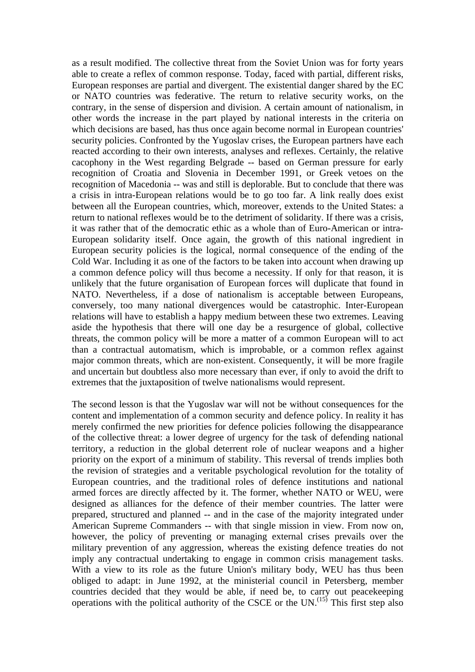as a result modified. The collective threat from the Soviet Union was for forty years able to create a reflex of common response. Today, faced with partial, different risks, European responses are partial and divergent. The existential danger shared by the EC or NATO countries was federative. The return to relative security works, on the contrary, in the sense of dispersion and division. A certain amount of nationalism, in other words the increase in the part played by national interests in the criteria on which decisions are based, has thus once again become normal in European countries' security policies. Confronted by the Yugoslav crises, the European partners have each reacted according to their own interests, analyses and reflexes. Certainly, the relative cacophony in the West regarding Belgrade -- based on German pressure for early recognition of Croatia and Slovenia in December 1991, or Greek vetoes on the recognition of Macedonia -- was and still is deplorable. But to conclude that there was a crisis in intra-European relations would be to go too far. A link really does exist between all the European countries, which, moreover, extends to the United States: a return to national reflexes would be to the detriment of solidarity. If there was a crisis, it was rather that of the democratic ethic as a whole than of Euro-American or intra-European solidarity itself. Once again, the growth of this national ingredient in European security policies is the logical, normal consequence of the ending of the Cold War. Including it as one of the factors to be taken into account when drawing up a common defence policy will thus become a necessity. If only for that reason, it is unlikely that the future organisation of European forces will duplicate that found in NATO. Nevertheless, if a dose of nationalism is acceptable between Europeans, conversely, too many national divergences would be catastrophic. Inter-European relations will have to establish a happy medium between these two extremes. Leaving aside the hypothesis that there will one day be a resurgence of global, collective threats, the common policy will be more a matter of a common European will to act than a contractual automatism, which is improbable, or a common reflex against major common threats, which are non-existent. Consequently, it will be more fragile and uncertain but doubtless also more necessary than ever, if only to avoid the drift to extremes that the juxtaposition of twelve nationalisms would represent.

The second lesson is that the Yugoslav war will not be without consequences for the content and implementation of a common security and defence policy. In reality it has merely confirmed the new priorities for defence policies following the disappearance of the collective threat: a lower degree of urgency for the task of defending national territory, a reduction in the global deterrent role of nuclear weapons and a higher priority on the export of a minimum of stability. This reversal of trends implies both the revision of strategies and a veritable psychological revolution for the totality of European countries, and the traditional roles of defence institutions and national armed forces are directly affected by it. The former, whether NATO or WEU, were designed as alliances for the defence of their member countries. The latter were prepared, structured and planned -- and in the case of the majority integrated under American Supreme Commanders -- with that single mission in view. From now on, however, the policy of preventing or managing external crises prevails over the military prevention of any aggression, whereas the existing defence treaties do not imply any contractual undertaking to engage in common crisis management tasks. With a view to its role as the future Union's military body, WEU has thus been obliged to adapt: in June 1992, at the ministerial council in Petersberg, member countries decided that they would be able, if need be, to carry out peacekeeping operations with the political authority of the CSCE or the UN.<sup> $(15)$ </sup> This first step also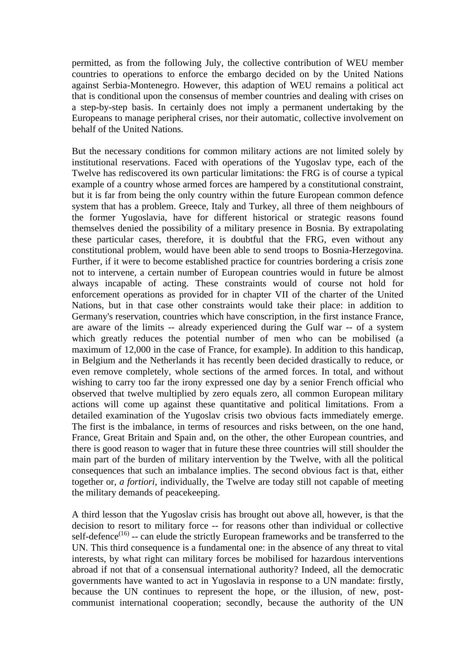permitted, as from the following July, the collective contribution of WEU member countries to operations to enforce the embargo decided on by the United Nations against Serbia-Montenegro. However, this adaption of WEU remains a political act that is conditional upon the consensus of member countries and dealing with crises on a step-by-step basis. In certainly does not imply a permanent undertaking by the Europeans to manage peripheral crises, nor their automatic, collective involvement on behalf of the United Nations.

But the necessary conditions for common military actions are not limited solely by institutional reservations. Faced with operations of the Yugoslav type, each of the Twelve has rediscovered its own particular limitations: the FRG is of course a typical example of a country whose armed forces are hampered by a constitutional constraint, but it is far from being the only country within the future European common defence system that has a problem. Greece, Italy and Turkey, all three of them neighbours of the former Yugoslavia, have for different historical or strategic reasons found themselves denied the possibility of a military presence in Bosnia. By extrapolating these particular cases, therefore, it is doubtful that the FRG, even without any constitutional problem, would have been able to send troops to Bosnia-Herzegovina. Further, if it were to become established practice for countries bordering a crisis zone not to intervene, a certain number of European countries would in future be almost always incapable of acting. These constraints would of course not hold for enforcement operations as provided for in chapter VII of the charter of the United Nations, but in that case other constraints would take their place: in addition to Germany's reservation, countries which have conscription, in the first instance France, are aware of the limits -- already experienced during the Gulf war -- of a system which greatly reduces the potential number of men who can be mobilised (a maximum of 12,000 in the case of France, for example). In addition to this handicap, in Belgium and the Netherlands it has recently been decided drastically to reduce, or even remove completely, whole sections of the armed forces. In total, and without wishing to carry too far the irony expressed one day by a senior French official who observed that twelve multiplied by zero equals zero, all common European military actions will come up against these quantitative and political limitations. From a detailed examination of the Yugoslav crisis two obvious facts immediately emerge. The first is the imbalance, in terms of resources and risks between, on the one hand, France, Great Britain and Spain and, on the other, the other European countries, and there is good reason to wager that in future these three countries will still shoulder the main part of the burden of military intervention by the Twelve, with all the political consequences that such an imbalance implies. The second obvious fact is that, either together or, *a fortiori*, individually, the Twelve are today still not capable of meeting the military demands of peacekeeping.

A third lesson that the Yugoslav crisis has brought out above all, however, is that the decision to resort to military force -- for reasons other than individual or collective self-defence<sup> $(16)$ </sup> -- can elude the strictly European frameworks and be transferred to the UN. This third consequence is a fundamental one: in the absence of any threat to vital interests, by what right can military forces be mobilised for hazardous interventions abroad if not that of a consensual international authority? Indeed, all the democratic governments have wanted to act in Yugoslavia in response to a UN mandate: firstly, because the UN continues to represent the hope, or the illusion, of new, postcommunist international cooperation; secondly, because the authority of the UN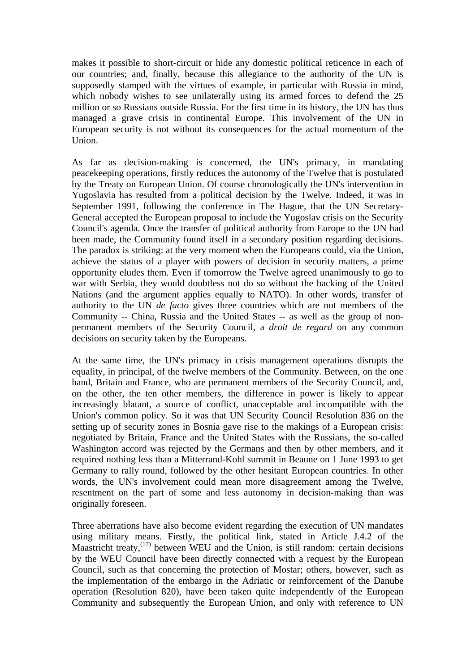makes it possible to short-circuit or hide any domestic political reticence in each of our countries; and, finally, because this allegiance to the authority of the UN is supposedly stamped with the virtues of example, in particular with Russia in mind, which nobody wishes to see unilaterally using its armed forces to defend the 25 million or so Russians outside Russia. For the first time in its history, the UN has thus managed a grave crisis in continental Europe. This involvement of the UN in European security is not without its consequences for the actual momentum of the Union.

As far as decision-making is concerned, the UN's primacy, in mandating peacekeeping operations, firstly reduces the autonomy of the Twelve that is postulated by the Treaty on European Union. Of course chronologically the UN's intervention in Yugoslavia has resulted from a political decision by the Twelve. Indeed, it was in September 1991, following the conference in The Hague, that the UN Secretary-General accepted the European proposal to include the Yugoslav crisis on the Security Council's agenda. Once the transfer of political authority from Europe to the UN had been made, the Community found itself in a secondary position regarding decisions. The paradox is striking: at the very moment when the Europeans could, via the Union, achieve the status of a player with powers of decision in security matters, a prime opportunity eludes them. Even if tomorrow the Twelve agreed unanimously to go to war with Serbia, they would doubtless not do so without the backing of the United Nations (and the argument applies equally to NATO). In other words, transfer of authority to the UN *de facto* gives three countries which are not members of the Community -- China, Russia and the United States -- as well as the group of nonpermanent members of the Security Council, a *droit de regard* on any common decisions on security taken by the Europeans.

At the same time, the UN's primacy in crisis management operations disrupts the equality, in principal, of the twelve members of the Community. Between, on the one hand, Britain and France, who are permanent members of the Security Council, and, on the other, the ten other members, the difference in power is likely to appear increasingly blatant, a source of conflict, unacceptable and incompatible with the Union's common policy. So it was that UN Security Council Resolution 836 on the setting up of security zones in Bosnia gave rise to the makings of a European crisis: negotiated by Britain, France and the United States with the Russians, the so-called Washington accord was rejected by the Germans and then by other members, and it required nothing less than a Mitterrand-Kohl summit in Beaune on 1 June 1993 to get Germany to rally round, followed by the other hesitant European countries. In other words, the UN's involvement could mean more disagreement among the Twelve, resentment on the part of some and less autonomy in decision-making than was originally foreseen.

Three aberrations have also become evident regarding the execution of UN mandates using military means. Firstly, the political link, stated in Article J.4.2 of the Maastricht treaty, $^{(17)}$  between WEU and the Union, is still random: certain decisions by the WEU Council have been directly connected with a request by the European Council, such as that concerning the protection of Mostar; others, however, such as the implementation of the embargo in the Adriatic or reinforcement of the Danube operation (Resolution 820), have been taken quite independently of the European Community and subsequently the European Union, and only with reference to UN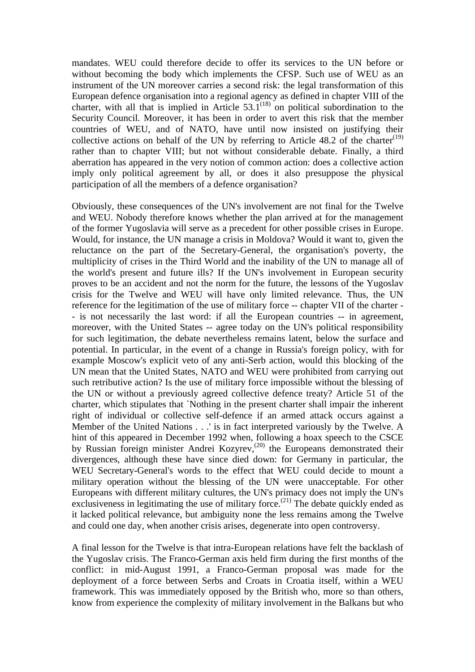mandates. WEU could therefore decide to offer its services to the UN before or without becoming the body which implements the CFSP. Such use of WEU as an instrument of the UN moreover carries a second risk: the legal transformation of this European defence organisation into a regional agency as defined in chapter VIII of the charter, with all that is implied in Article  $53.1^{(18)}$  on political subordination to the Security Council. Moreover, it has been in order to avert this risk that the member countries of WEU, and of NATO, have until now insisted on justifying their collective actions on behalf of the UN by referring to Article 48.2 of the charter<sup>(19)</sup> rather than to chapter VIII; but not without considerable debate. Finally, a third aberration has appeared in the very notion of common action: does a collective action imply only political agreement by all, or does it also presuppose the physical participation of all the members of a defence organisation?

Obviously, these consequences of the UN's involvement are not final for the Twelve and WEU. Nobody therefore knows whether the plan arrived at for the management of the former Yugoslavia will serve as a precedent for other possible crises in Europe. Would, for instance, the UN manage a crisis in Moldova? Would it want to, given the reluctance on the part of the Secretary-General, the organisation's poverty, the multiplicity of crises in the Third World and the inability of the UN to manage all of the world's present and future ills? If the UN's involvement in European security proves to be an accident and not the norm for the future, the lessons of the Yugoslav crisis for the Twelve and WEU will have only limited relevance. Thus, the UN reference for the legitimation of the use of military force -- chapter VII of the charter - - is not necessarily the last word: if all the European countries -- in agreement, moreover, with the United States -- agree today on the UN's political responsibility for such legitimation, the debate nevertheless remains latent, below the surface and potential. In particular, in the event of a change in Russia's foreign policy, with for example Moscow's explicit veto of any anti-Serb action, would this blocking of the UN mean that the United States, NATO and WEU were prohibited from carrying out such retributive action? Is the use of military force impossible without the blessing of the UN or without a previously agreed collective defence treaty? Article 51 of the charter, which stipulates that `Nothing in the present charter shall impair the inherent right of individual or collective self-defence if an armed attack occurs against a Member of the United Nations . . .' is in fact interpreted variously by the Twelve. A hint of this appeared in December 1992 when, following a hoax speech to the CSCE by Russian foreign minister Andrei Kozyrev,<sup>(20)</sup> the Europeans demonstrated their divergences, although these have since died down: for Germany in particular, the WEU Secretary-General's words to the effect that WEU could decide to mount a military operation without the blessing of the UN were unacceptable. For other Europeans with different military cultures, the UN's primacy does not imply the UN's exclusiveness in legitimating the use of military force.<sup>(21)</sup> The debate quickly ended as it lacked political relevance, but ambiguity none the less remains among the Twelve and could one day, when another crisis arises, degenerate into open controversy.

A final lesson for the Twelve is that intra-European relations have felt the backlash of the Yugoslav crisis. The Franco-German axis held firm during the first months of the conflict: in mid-August 1991, a Franco-German proposal was made for the deployment of a force between Serbs and Croats in Croatia itself, within a WEU framework. This was immediately opposed by the British who, more so than others, know from experience the complexity of military involvement in the Balkans but who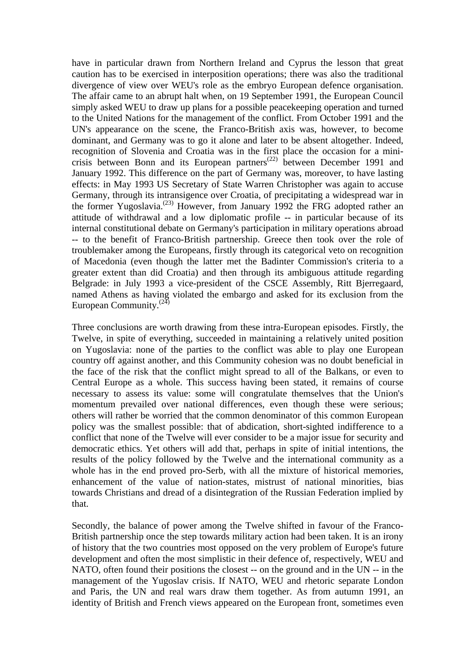have in particular drawn from Northern Ireland and Cyprus the lesson that great caution has to be exercised in interposition operations; there was also the traditional divergence of view over WEU's role as the embryo European defence organisation. The affair came to an abrupt halt when, on 19 September 1991, the European Council simply asked WEU to draw up plans for a possible peacekeeping operation and turned to the United Nations for the management of the conflict. From October 1991 and the UN's appearance on the scene, the Franco-British axis was, however, to become dominant, and Germany was to go it alone and later to be absent altogether. Indeed, recognition of Slovenia and Croatia was in the first place the occasion for a minicrisis between Bonn and its European partners<sup>(22)</sup> between December 1991 and January 1992. This difference on the part of Germany was, moreover, to have lasting effects: in May 1993 US Secretary of State Warren Christopher was again to accuse Germany, through its intransigence over Croatia, of precipitating a widespread war in the former Yugoslavia.(23) However, from January 1992 the FRG adopted rather an attitude of withdrawal and a low diplomatic profile -- in particular because of its internal constitutional debate on Germany's participation in military operations abroad -- to the benefit of Franco-British partnership. Greece then took over the role of troublemaker among the Europeans, firstly through its categorical veto on recognition of Macedonia (even though the latter met the Badinter Commission's criteria to a greater extent than did Croatia) and then through its ambiguous attitude regarding Belgrade: in July 1993 a vice-president of the CSCE Assembly, Ritt Bjerregaard, named Athens as having violated the embargo and asked for its exclusion from the European Community.<sup>(24)</sup>

Three conclusions are worth drawing from these intra-European episodes. Firstly, the Twelve, in spite of everything, succeeded in maintaining a relatively united position on Yugoslavia: none of the parties to the conflict was able to play one European country off against another, and this Community cohesion was no doubt beneficial in the face of the risk that the conflict might spread to all of the Balkans, or even to Central Europe as a whole. This success having been stated, it remains of course necessary to assess its value: some will congratulate themselves that the Union's momentum prevailed over national differences, even though these were serious; others will rather be worried that the common denominator of this common European policy was the smallest possible: that of abdication, short-sighted indifference to a conflict that none of the Twelve will ever consider to be a major issue for security and democratic ethics. Yet others will add that, perhaps in spite of initial intentions, the results of the policy followed by the Twelve and the international community as a whole has in the end proved pro-Serb, with all the mixture of historical memories, enhancement of the value of nation-states, mistrust of national minorities, bias towards Christians and dread of a disintegration of the Russian Federation implied by that.

Secondly, the balance of power among the Twelve shifted in favour of the Franco-British partnership once the step towards military action had been taken. It is an irony of history that the two countries most opposed on the very problem of Europe's future development and often the most simplistic in their defence of, respectively, WEU and NATO, often found their positions the closest -- on the ground and in the UN -- in the management of the Yugoslav crisis. If NATO, WEU and rhetoric separate London and Paris, the UN and real wars draw them together. As from autumn 1991, an identity of British and French views appeared on the European front, sometimes even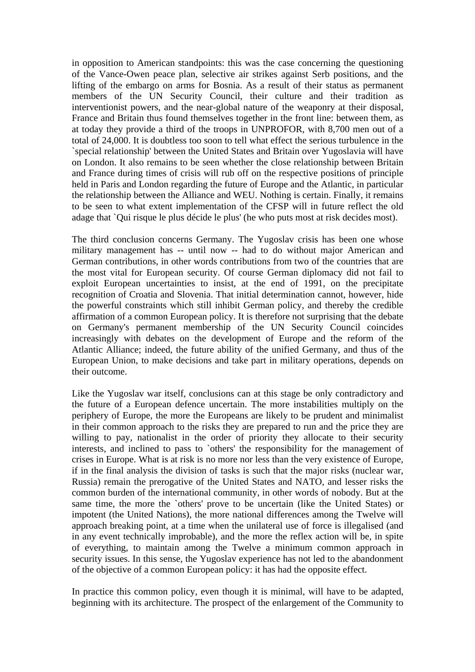in opposition to American standpoints: this was the case concerning the questioning of the Vance-Owen peace plan, selective air strikes against Serb positions, and the lifting of the embargo on arms for Bosnia. As a result of their status as permanent members of the UN Security Council, their culture and their tradition as interventionist powers, and the near-global nature of the weaponry at their disposal, France and Britain thus found themselves together in the front line: between them, as at today they provide a third of the troops in UNPROFOR, with 8,700 men out of a total of 24,000. It is doubtless too soon to tell what effect the serious turbulence in the `special relationship' between the United States and Britain over Yugoslavia will have on London. It also remains to be seen whether the close relationship between Britain and France during times of crisis will rub off on the respective positions of principle held in Paris and London regarding the future of Europe and the Atlantic, in particular the relationship between the Alliance and WEU. Nothing is certain. Finally, it remains to be seen to what extent implementation of the CFSP will in future reflect the old adage that `Qui risque le plus décide le plus' (he who puts most at risk decides most).

The third conclusion concerns Germany. The Yugoslav crisis has been one whose military management has -- until now -- had to do without major American and German contributions, in other words contributions from two of the countries that are the most vital for European security. Of course German diplomacy did not fail to exploit European uncertainties to insist, at the end of 1991, on the precipitate recognition of Croatia and Slovenia. That initial determination cannot, however, hide the powerful constraints which still inhibit German policy, and thereby the credible affirmation of a common European policy. It is therefore not surprising that the debate on Germany's permanent membership of the UN Security Council coincides increasingly with debates on the development of Europe and the reform of the Atlantic Alliance; indeed, the future ability of the unified Germany, and thus of the European Union, to make decisions and take part in military operations, depends on their outcome.

Like the Yugoslav war itself, conclusions can at this stage be only contradictory and the future of a European defence uncertain. The more instabilities multiply on the periphery of Europe, the more the Europeans are likely to be prudent and minimalist in their common approach to the risks they are prepared to run and the price they are willing to pay, nationalist in the order of priority they allocate to their security interests, and inclined to pass to `others' the responsibility for the management of crises in Europe. What is at risk is no more nor less than the very existence of Europe, if in the final analysis the division of tasks is such that the major risks (nuclear war, Russia) remain the prerogative of the United States and NATO, and lesser risks the common burden of the international community, in other words of nobody. But at the same time, the more the `others' prove to be uncertain (like the United States) or impotent (the United Nations), the more national differences among the Twelve will approach breaking point, at a time when the unilateral use of force is illegalised (and in any event technically improbable), and the more the reflex action will be, in spite of everything, to maintain among the Twelve a minimum common approach in security issues. In this sense, the Yugoslav experience has not led to the abandonment of the objective of a common European policy: it has had the opposite effect.

In practice this common policy, even though it is minimal, will have to be adapted, beginning with its architecture. The prospect of the enlargement of the Community to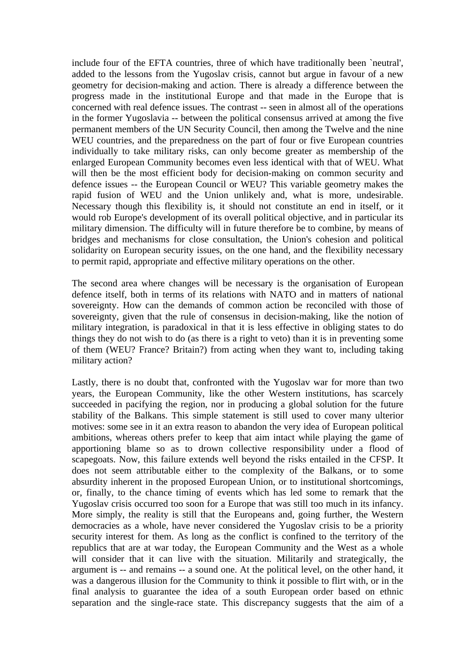include four of the EFTA countries, three of which have traditionally been `neutral', added to the lessons from the Yugoslav crisis, cannot but argue in favour of a new geometry for decision-making and action. There is already a difference between the progress made in the institutional Europe and that made in the Europe that is concerned with real defence issues. The contrast -- seen in almost all of the operations in the former Yugoslavia -- between the political consensus arrived at among the five permanent members of the UN Security Council, then among the Twelve and the nine WEU countries, and the preparedness on the part of four or five European countries individually to take military risks, can only become greater as membership of the enlarged European Community becomes even less identical with that of WEU. What will then be the most efficient body for decision-making on common security and defence issues -- the European Council or WEU? This variable geometry makes the rapid fusion of WEU and the Union unlikely and, what is more, undesirable. Necessary though this flexibility is, it should not constitute an end in itself, or it would rob Europe's development of its overall political objective, and in particular its military dimension. The difficulty will in future therefore be to combine, by means of bridges and mechanisms for close consultation, the Union's cohesion and political solidarity on European security issues, on the one hand, and the flexibility necessary to permit rapid, appropriate and effective military operations on the other.

The second area where changes will be necessary is the organisation of European defence itself, both in terms of its relations with NATO and in matters of national sovereignty. How can the demands of common action be reconciled with those of sovereignty, given that the rule of consensus in decision-making, like the notion of military integration, is paradoxical in that it is less effective in obliging states to do things they do not wish to do (as there is a right to veto) than it is in preventing some of them (WEU? France? Britain?) from acting when they want to, including taking military action?

Lastly, there is no doubt that, confronted with the Yugoslav war for more than two years, the European Community, like the other Western institutions, has scarcely succeeded in pacifying the region, nor in producing a global solution for the future stability of the Balkans. This simple statement is still used to cover many ulterior motives: some see in it an extra reason to abandon the very idea of European political ambitions, whereas others prefer to keep that aim intact while playing the game of apportioning blame so as to drown collective responsibility under a flood of scapegoats. Now, this failure extends well beyond the risks entailed in the CFSP. It does not seem attributable either to the complexity of the Balkans, or to some absurdity inherent in the proposed European Union, or to institutional shortcomings, or, finally, to the chance timing of events which has led some to remark that the Yugoslav crisis occurred too soon for a Europe that was still too much in its infancy. More simply, the reality is still that the Europeans and, going further, the Western democracies as a whole, have never considered the Yugoslav crisis to be a priority security interest for them. As long as the conflict is confined to the territory of the republics that are at war today, the European Community and the West as a whole will consider that it can live with the situation. Militarily and strategically, the argument is -- and remains -- a sound one. At the political level, on the other hand, it was a dangerous illusion for the Community to think it possible to flirt with, or in the final analysis to guarantee the idea of a south European order based on ethnic separation and the single-race state. This discrepancy suggests that the aim of a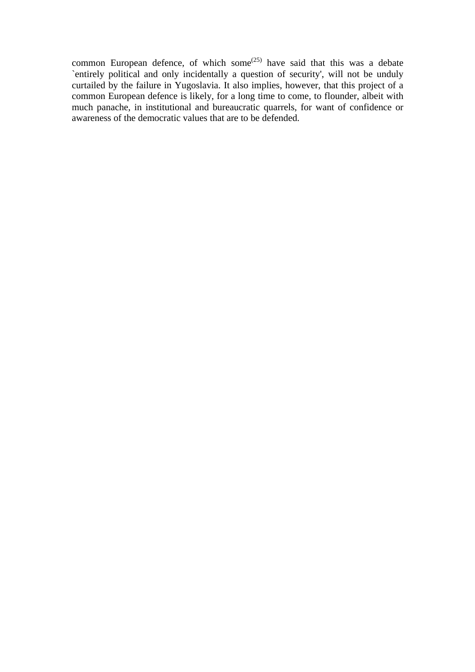common European defence, of which some<sup> $(25)$ </sup> have said that this was a debate `entirely political and only incidentally a question of security', will not be unduly curtailed by the failure in Yugoslavia. It also implies, however, that this project of a common European defence is likely, for a long time to come, to flounder, albeit with much panache, in institutional and bureaucratic quarrels, for want of confidence or awareness of the democratic values that are to be defended.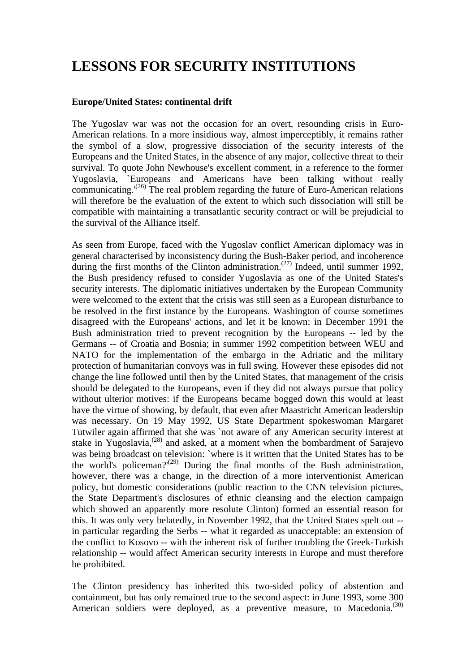## **LESSONS FOR SECURITY INSTITUTIONS**

#### **Europe/United States: continental drift**

The Yugoslav war was not the occasion for an overt, resounding crisis in Euro-American relations. In a more insidious way, almost imperceptibly, it remains rather the symbol of a slow, progressive dissociation of the security interests of the Europeans and the United States, in the absence of any major, collective threat to their survival. To quote John Newhouse's excellent comment, in a reference to the former Yugoslavia, `Europeans and Americans have been talking without really communicating. $(26)$  The real problem regarding the future of Euro-American relations will therefore be the evaluation of the extent to which such dissociation will still be compatible with maintaining a transatlantic security contract or will be prejudicial to the survival of the Alliance itself.

As seen from Europe, faced with the Yugoslav conflict American diplomacy was in general characterised by inconsistency during the Bush-Baker period, and incoherence during the first months of the Clinton administration.<sup>(27)</sup> Indeed, until summer 1992, the Bush presidency refused to consider Yugoslavia as one of the United States's security interests. The diplomatic initiatives undertaken by the European Community were welcomed to the extent that the crisis was still seen as a European disturbance to be resolved in the first instance by the Europeans. Washington of course sometimes disagreed with the Europeans' actions, and let it be known: in December 1991 the Bush administration tried to prevent recognition by the Europeans -- led by the Germans -- of Croatia and Bosnia; in summer 1992 competition between WEU and NATO for the implementation of the embargo in the Adriatic and the military protection of humanitarian convoys was in full swing. However these episodes did not change the line followed until then by the United States, that management of the crisis should be delegated to the Europeans, even if they did not always pursue that policy without ulterior motives: if the Europeans became bogged down this would at least have the virtue of showing, by default, that even after Maastricht American leadership was necessary. On 19 May 1992, US State Department spokeswoman Margaret Tutwiler again affirmed that she was `not aware of' any American security interest at stake in Yugoslavia,<sup>(28)</sup> and asked, at a moment when the bombardment of Sarajevo was being broadcast on television: `where is it written that the United States has to be the world's policeman?'( $29$ ) During the final months of the Bush administration, however, there was a change, in the direction of a more interventionist American policy, but domestic considerations (public reaction to the CNN television pictures, the State Department's disclosures of ethnic cleansing and the election campaign which showed an apparently more resolute Clinton) formed an essential reason for this. It was only very belatedly, in November 1992, that the United States spelt out - in particular regarding the Serbs -- what it regarded as unacceptable: an extension of the conflict to Kosovo -- with the inherent risk of further troubling the Greek-Turkish relationship -- would affect American security interests in Europe and must therefore be prohibited.

The Clinton presidency has inherited this two-sided policy of abstention and containment, but has only remained true to the second aspect: in June 1993, some 300 American soldiers were deployed, as a preventive measure, to Macedonia.<sup>(30)</sup>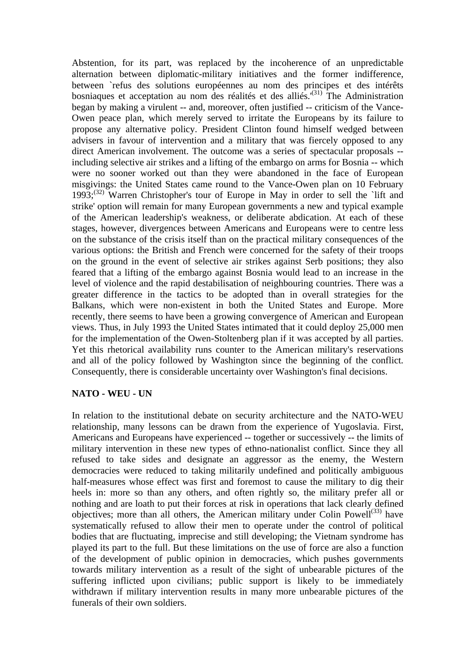Abstention, for its part, was replaced by the incoherence of an unpredictable alternation between diplomatic-military initiatives and the former indifference, between `refus des solutions européennes au nom des principes et des intérêts bosniaques et acceptation au nom des réalités et des alliés.<sup>'(31)</sup> The Administration began by making a virulent -- and, moreover, often justified -- criticism of the Vance-Owen peace plan, which merely served to irritate the Europeans by its failure to propose any alternative policy. President Clinton found himself wedged between advisers in favour of intervention and a military that was fiercely opposed to any direct American involvement. The outcome was a series of spectacular proposals - including selective air strikes and a lifting of the embargo on arms for Bosnia -- which were no sooner worked out than they were abandoned in the face of European misgivings: the United States came round to the Vance-Owen plan on 10 February 1993;<sup>(32)</sup> Warren Christopher's tour of Europe in May in order to sell the `lift and strike' option will remain for many European governments a new and typical example of the American leadership's weakness, or deliberate abdication. At each of these stages, however, divergences between Americans and Europeans were to centre less on the substance of the crisis itself than on the practical military consequences of the various options: the British and French were concerned for the safety of their troops on the ground in the event of selective air strikes against Serb positions; they also feared that a lifting of the embargo against Bosnia would lead to an increase in the level of violence and the rapid destabilisation of neighbouring countries. There was a greater difference in the tactics to be adopted than in overall strategies for the Balkans, which were non-existent in both the United States and Europe. More recently, there seems to have been a growing convergence of American and European views. Thus, in July 1993 the United States intimated that it could deploy 25,000 men for the implementation of the Owen-Stoltenberg plan if it was accepted by all parties. Yet this rhetorical availability runs counter to the American military's reservations and all of the policy followed by Washington since the beginning of the conflict. Consequently, there is considerable uncertainty over Washington's final decisions.

#### **NATO - WEU - UN**

In relation to the institutional debate on security architecture and the NATO-WEU relationship, many lessons can be drawn from the experience of Yugoslavia. First, Americans and Europeans have experienced -- together or successively -- the limits of military intervention in these new types of ethno-nationalist conflict. Since they all refused to take sides and designate an aggressor as the enemy, the Western democracies were reduced to taking militarily undefined and politically ambiguous half-measures whose effect was first and foremost to cause the military to dig their heels in: more so than any others, and often rightly so, the military prefer all or nothing and are loath to put their forces at risk in operations that lack clearly defined objectives; more than all others, the American military under Colin Powell<sup> $(33)$ </sup> have systematically refused to allow their men to operate under the control of political bodies that are fluctuating, imprecise and still developing; the Vietnam syndrome has played its part to the full. But these limitations on the use of force are also a function of the development of public opinion in democracies, which pushes governments towards military intervention as a result of the sight of unbearable pictures of the suffering inflicted upon civilians; public support is likely to be immediately withdrawn if military intervention results in many more unbearable pictures of the funerals of their own soldiers.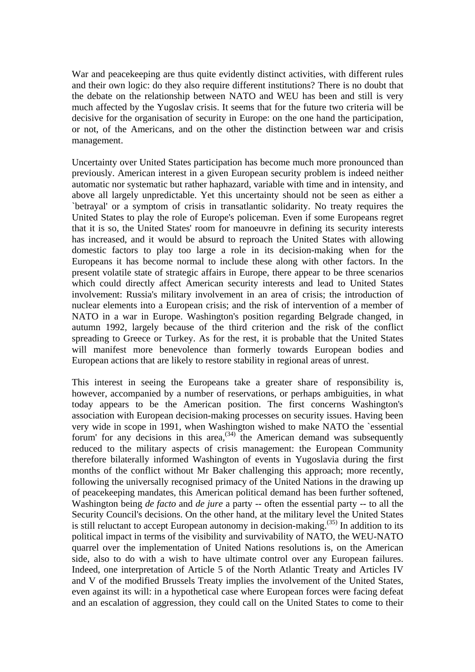War and peacekeeping are thus quite evidently distinct activities, with different rules and their own logic: do they also require different institutions? There is no doubt that the debate on the relationship between NATO and WEU has been and still is very much affected by the Yugoslav crisis. It seems that for the future two criteria will be decisive for the organisation of security in Europe: on the one hand the participation, or not, of the Americans, and on the other the distinction between war and crisis management.

Uncertainty over United States participation has become much more pronounced than previously. American interest in a given European security problem is indeed neither automatic nor systematic but rather haphazard, variable with time and in intensity, and above all largely unpredictable. Yet this uncertainty should not be seen as either a `betrayal' or a symptom of crisis in transatlantic solidarity. No treaty requires the United States to play the role of Europe's policeman. Even if some Europeans regret that it is so, the United States' room for manoeuvre in defining its security interests has increased, and it would be absurd to reproach the United States with allowing domestic factors to play too large a role in its decision-making when for the Europeans it has become normal to include these along with other factors. In the present volatile state of strategic affairs in Europe, there appear to be three scenarios which could directly affect American security interests and lead to United States involvement: Russia's military involvement in an area of crisis; the introduction of nuclear elements into a European crisis; and the risk of intervention of a member of NATO in a war in Europe. Washington's position regarding Belgrade changed, in autumn 1992, largely because of the third criterion and the risk of the conflict spreading to Greece or Turkey. As for the rest, it is probable that the United States will manifest more benevolence than formerly towards European bodies and European actions that are likely to restore stability in regional areas of unrest.

This interest in seeing the Europeans take a greater share of responsibility is, however, accompanied by a number of reservations, or perhaps ambiguities, in what today appears to be the American position. The first concerns Washington's association with European decision-making processes on security issues. Having been very wide in scope in 1991, when Washington wished to make NATO the `essential forum' for any decisions in this area,<sup>(34)</sup> the American demand was subsequently reduced to the military aspects of crisis management: the European Community therefore bilaterally informed Washington of events in Yugoslavia during the first months of the conflict without Mr Baker challenging this approach; more recently, following the universally recognised primacy of the United Nations in the drawing up of peacekeeping mandates, this American political demand has been further softened, Washington being *de facto* and *de jure* a party -- often the essential party -- to all the Security Council's decisions. On the other hand, at the military level the United States is still reluctant to accept European autonomy in decision-making.<sup> $(35)$ </sup> In addition to its political impact in terms of the visibility and survivability of NATO, the WEU-NATO quarrel over the implementation of United Nations resolutions is, on the American side, also to do with a wish to have ultimate control over any European failures. Indeed, one interpretation of Article 5 of the North Atlantic Treaty and Articles IV and V of the modified Brussels Treaty implies the involvement of the United States, even against its will: in a hypothetical case where European forces were facing defeat and an escalation of aggression, they could call on the United States to come to their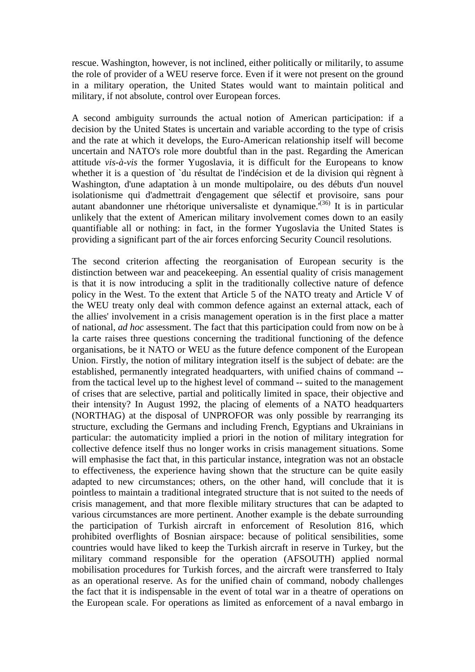rescue. Washington, however, is not inclined, either politically or militarily, to assume the role of provider of a WEU reserve force. Even if it were not present on the ground in a military operation, the United States would want to maintain political and military, if not absolute, control over European forces.

A second ambiguity surrounds the actual notion of American participation: if a decision by the United States is uncertain and variable according to the type of crisis and the rate at which it develops, the Euro-American relationship itself will become uncertain and NATO's role more doubtful than in the past. Regarding the American attitude *vis-à-vis* the former Yugoslavia, it is difficult for the Europeans to know whether it is a question of `du résultat de l'indécision et de la division qui règnent à Washington, d'une adaptation à un monde multipolaire, ou des débuts d'un nouvel isolationisme qui d'admettrait d'engagement que sélectif et provisoire, sans pour autant abandonner une rhétorique universaliste et dynamique.<sup>(36)</sup> It is in particular unlikely that the extent of American military involvement comes down to an easily quantifiable all or nothing: in fact, in the former Yugoslavia the United States is providing a significant part of the air forces enforcing Security Council resolutions.

The second criterion affecting the reorganisation of European security is the distinction between war and peacekeeping. An essential quality of crisis management is that it is now introducing a split in the traditionally collective nature of defence policy in the West. To the extent that Article 5 of the NATO treaty and Article V of the WEU treaty only deal with common defence against an external attack, each of the allies' involvement in a crisis management operation is in the first place a matter of national, *ad hoc* assessment. The fact that this participation could from now on be à la carte raises three questions concerning the traditional functioning of the defence organisations, be it NATO or WEU as the future defence component of the European Union. Firstly, the notion of military integration itself is the subject of debate: are the established, permanently integrated headquarters, with unified chains of command - from the tactical level up to the highest level of command -- suited to the management of crises that are selective, partial and politically limited in space, their objective and their intensity? In August 1992, the placing of elements of a NATO headquarters (NORTHAG) at the disposal of UNPROFOR was only possible by rearranging its structure, excluding the Germans and including French, Egyptians and Ukrainians in particular: the automaticity implied a priori in the notion of military integration for collective defence itself thus no longer works in crisis management situations. Some will emphasise the fact that, in this particular instance, integration was not an obstacle to effectiveness, the experience having shown that the structure can be quite easily adapted to new circumstances; others, on the other hand, will conclude that it is pointless to maintain a traditional integrated structure that is not suited to the needs of crisis management, and that more flexible military structures that can be adapted to various circumstances are more pertinent. Another example is the debate surrounding the participation of Turkish aircraft in enforcement of Resolution 816, which prohibited overflights of Bosnian airspace: because of political sensibilities, some countries would have liked to keep the Turkish aircraft in reserve in Turkey, but the military command responsible for the operation (AFSOUTH) applied normal mobilisation procedures for Turkish forces, and the aircraft were transferred to Italy as an operational reserve. As for the unified chain of command, nobody challenges the fact that it is indispensable in the event of total war in a theatre of operations on the European scale. For operations as limited as enforcement of a naval embargo in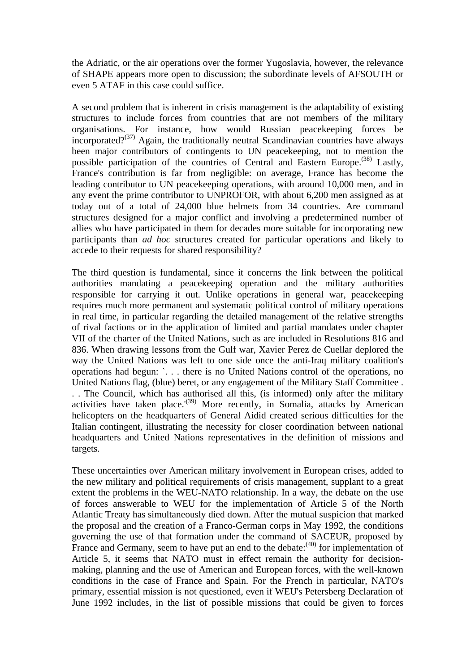the Adriatic, or the air operations over the former Yugoslavia, however, the relevance of SHAPE appears more open to discussion; the subordinate levels of AFSOUTH or even 5 ATAF in this case could suffice.

A second problem that is inherent in crisis management is the adaptability of existing structures to include forces from countries that are not members of the military organisations. For instance, how would Russian peacekeeping forces be incorporated?<sup>(37)</sup> Again, the traditionally neutral Scandinavian countries have always been major contributors of contingents to UN peacekeeping, not to mention the possible participation of the countries of Central and Eastern Europe.<sup>(38)</sup> Lastly, France's contribution is far from negligible: on average, France has become the leading contributor to UN peacekeeping operations, with around 10,000 men, and in any event the prime contributor to UNPROFOR, with about 6,200 men assigned as at today out of a total of 24,000 blue helmets from 34 countries. Are command structures designed for a major conflict and involving a predetermined number of allies who have participated in them for decades more suitable for incorporating new participants than *ad hoc* structures created for particular operations and likely to accede to their requests for shared responsibility?

The third question is fundamental, since it concerns the link between the political authorities mandating a peacekeeping operation and the military authorities responsible for carrying it out. Unlike operations in general war, peacekeeping requires much more permanent and systematic political control of military operations in real time, in particular regarding the detailed management of the relative strengths of rival factions or in the application of limited and partial mandates under chapter VII of the charter of the United Nations, such as are included in Resolutions 816 and 836. When drawing lessons from the Gulf war, Xavier Perez de Cuellar deplored the way the United Nations was left to one side once the anti-Iraq military coalition's operations had begun: `. . . there is no United Nations control of the operations, no United Nations flag, (blue) beret, or any engagement of the Military Staff Committee . . . The Council, which has authorised all this, (is informed) only after the military activities have taken place.<sup> $(39)$ </sup> More recently, in Somalia, attacks by American helicopters on the headquarters of General Aidid created serious difficulties for the Italian contingent, illustrating the necessity for closer coordination between national headquarters and United Nations representatives in the definition of missions and targets.

These uncertainties over American military involvement in European crises, added to the new military and political requirements of crisis management, supplant to a great extent the problems in the WEU-NATO relationship. In a way, the debate on the use of forces answerable to WEU for the implementation of Article 5 of the North Atlantic Treaty has simultaneously died down. After the mutual suspicion that marked the proposal and the creation of a Franco-German corps in May 1992, the conditions governing the use of that formation under the command of SACEUR, proposed by France and Germany, seem to have put an end to the debate:<sup>(40)</sup> for implementation of Article 5, it seems that NATO must in effect remain the authority for decisionmaking, planning and the use of American and European forces, with the well-known conditions in the case of France and Spain. For the French in particular, NATO's primary, essential mission is not questioned, even if WEU's Petersberg Declaration of June 1992 includes, in the list of possible missions that could be given to forces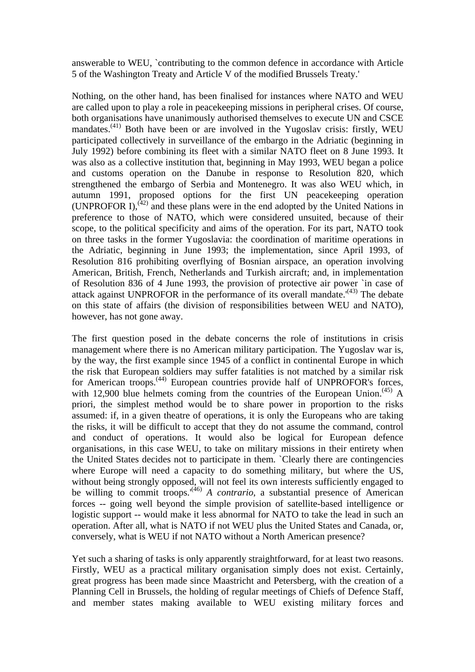answerable to WEU, `contributing to the common defence in accordance with Article 5 of the Washington Treaty and Article V of the modified Brussels Treaty.'

Nothing, on the other hand, has been finalised for instances where NATO and WEU are called upon to play a role in peacekeeping missions in peripheral crises. Of course, both organisations have unanimously authorised themselves to execute UN and CSCE mandates.(41) Both have been or are involved in the Yugoslav crisis: firstly, WEU participated collectively in surveillance of the embargo in the Adriatic (beginning in July 1992) before combining its fleet with a similar NATO fleet on 8 June 1993. It was also as a collective institution that, beginning in May 1993, WEU began a police and customs operation on the Danube in response to Resolution 820, which strengthened the embargo of Serbia and Montenegro. It was also WEU which, in autumn 1991, proposed options for the first UN peacekeeping operation (UNPROFOR I), $^{(42)}$  and these plans were in the end adopted by the United Nations in preference to those of NATO, which were considered unsuited, because of their scope, to the political specificity and aims of the operation. For its part, NATO took on three tasks in the former Yugoslavia: the coordination of maritime operations in the Adriatic, beginning in June 1993; the implementation, since April 1993, of Resolution 816 prohibiting overflying of Bosnian airspace, an operation involving American, British, French, Netherlands and Turkish aircraft; and, in implementation of Resolution 836 of 4 June 1993, the provision of protective air power `in case of attack against UNPROFOR in the performance of its overall mandate.<sup> $(43)$ </sup> The debate on this state of affairs (the division of responsibilities between WEU and NATO), however, has not gone away.

The first question posed in the debate concerns the role of institutions in crisis management where there is no American military participation. The Yugoslav war is, by the way, the first example since 1945 of a conflict in continental Europe in which the risk that European soldiers may suffer fatalities is not matched by a similar risk for American troops.<sup>(44)</sup> European countries provide half of UNPROFOR's forces, with 12,900 blue helmets coming from the countries of the European Union.<sup> $(45)$ </sup> A priori, the simplest method would be to share power in proportion to the risks assumed: if, in a given theatre of operations, it is only the Europeans who are taking the risks, it will be difficult to accept that they do not assume the command, control and conduct of operations. It would also be logical for European defence organisations, in this case WEU, to take on military missions in their entirety when the United States decides not to participate in them. `Clearly there are contingencies where Europe will need a capacity to do something military, but where the US, without being strongly opposed, will not feel its own interests sufficiently engaged to be willing to commit troops.<sup> $(46)$ </sup> *A contrario*, a substantial presence of American forces -- going well beyond the simple provision of satellite-based intelligence or logistic support -- would make it less abnormal for NATO to take the lead in such an operation. After all, what is NATO if not WEU plus the United States and Canada, or, conversely, what is WEU if not NATO without a North American presence?

Yet such a sharing of tasks is only apparently straightforward, for at least two reasons. Firstly, WEU as a practical military organisation simply does not exist. Certainly, great progress has been made since Maastricht and Petersberg, with the creation of a Planning Cell in Brussels, the holding of regular meetings of Chiefs of Defence Staff, and member states making available to WEU existing military forces and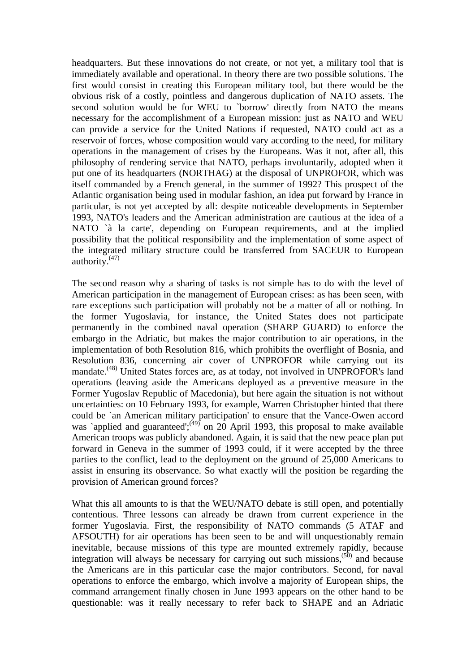headquarters. But these innovations do not create, or not yet, a military tool that is immediately available and operational. In theory there are two possible solutions. The first would consist in creating this European military tool, but there would be the obvious risk of a costly, pointless and dangerous duplication of NATO assets. The second solution would be for WEU to `borrow' directly from NATO the means necessary for the accomplishment of a European mission: just as NATO and WEU can provide a service for the United Nations if requested, NATO could act as a reservoir of forces, whose composition would vary according to the need, for military operations in the management of crises by the Europeans. Was it not, after all, this philosophy of rendering service that NATO, perhaps involuntarily, adopted when it put one of its headquarters (NORTHAG) at the disposal of UNPROFOR, which was itself commanded by a French general, in the summer of 1992? This prospect of the Atlantic organisation being used in modular fashion, an idea put forward by France in particular, is not yet accepted by all: despite noticeable developments in September 1993, NATO's leaders and the American administration are cautious at the idea of a NATO `à la carte', depending on European requirements, and at the implied possibility that the political responsibility and the implementation of some aspect of the integrated military structure could be transferred from SACEUR to European authority. $(47)$ 

The second reason why a sharing of tasks is not simple has to do with the level of American participation in the management of European crises: as has been seen, with rare exceptions such participation will probably not be a matter of all or nothing. In the former Yugoslavia, for instance, the United States does not participate permanently in the combined naval operation (SHARP GUARD) to enforce the embargo in the Adriatic, but makes the major contribution to air operations, in the implementation of both Resolution 816, which prohibits the overflight of Bosnia, and Resolution 836, concerning air cover of UNPROFOR while carrying out its mandate.<sup>(48)</sup> United States forces are, as at today, not involved in UNPROFOR's land operations (leaving aside the Americans deployed as a preventive measure in the Former Yugoslav Republic of Macedonia), but here again the situation is not without uncertainties: on 10 February 1993, for example, Warren Christopher hinted that there could be `an American military participation' to ensure that the Vance-Owen accord was `applied and guaranteed';<sup>(49)</sup> on 20 April 1993, this proposal to make available American troops was publicly abandoned. Again, it is said that the new peace plan put forward in Geneva in the summer of 1993 could, if it were accepted by the three parties to the conflict, lead to the deployment on the ground of 25,000 Americans to assist in ensuring its observance. So what exactly will the position be regarding the provision of American ground forces?

What this all amounts to is that the WEU/NATO debate is still open, and potentially contentious. Three lessons can already be drawn from current experience in the former Yugoslavia. First, the responsibility of NATO commands (5 ATAF and AFSOUTH) for air operations has been seen to be and will unquestionably remain inevitable, because missions of this type are mounted extremely rapidly, because integration will always be necessary for carrying out such missions,<sup>(50)</sup> and because the Americans are in this particular case the major contributors. Second, for naval operations to enforce the embargo, which involve a majority of European ships, the command arrangement finally chosen in June 1993 appears on the other hand to be questionable: was it really necessary to refer back to SHAPE and an Adriatic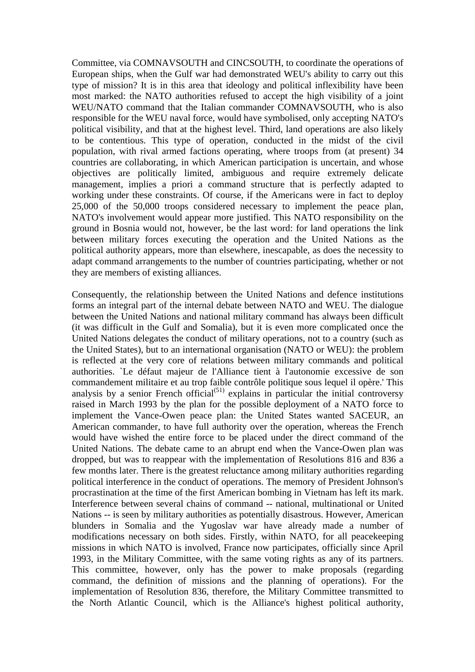Committee, via COMNAVSOUTH and CINCSOUTH, to coordinate the operations of European ships, when the Gulf war had demonstrated WEU's ability to carry out this type of mission? It is in this area that ideology and political inflexibility have been most marked: the NATO authorities refused to accept the high visibility of a joint WEU/NATO command that the Italian commander COMNAVSOUTH, who is also responsible for the WEU naval force, would have symbolised, only accepting NATO's political visibility, and that at the highest level. Third, land operations are also likely to be contentious. This type of operation, conducted in the midst of the civil population, with rival armed factions operating, where troops from (at present) 34 countries are collaborating, in which American participation is uncertain, and whose objectives are politically limited, ambiguous and require extremely delicate management, implies a priori a command structure that is perfectly adapted to working under these constraints. Of course, if the Americans were in fact to deploy 25,000 of the 50,000 troops considered necessary to implement the peace plan, NATO's involvement would appear more justified. This NATO responsibility on the ground in Bosnia would not, however, be the last word: for land operations the link between military forces executing the operation and the United Nations as the political authority appears, more than elsewhere, inescapable, as does the necessity to adapt command arrangements to the number of countries participating, whether or not they are members of existing alliances.

Consequently, the relationship between the United Nations and defence institutions forms an integral part of the internal debate between NATO and WEU. The dialogue between the United Nations and national military command has always been difficult (it was difficult in the Gulf and Somalia), but it is even more complicated once the United Nations delegates the conduct of military operations, not to a country (such as the United States), but to an international organisation (NATO or WEU): the problem is reflected at the very core of relations between military commands and political authorities. `Le défaut majeur de l'Alliance tient à l'autonomie excessive de son commandement militaire et au trop faible contrôle politique sous lequel il opère.' This analysis by a senior French official<sup> $(51)$ </sup> explains in particular the initial controversy raised in March 1993 by the plan for the possible deployment of a NATO force to implement the Vance-Owen peace plan: the United States wanted SACEUR, an American commander, to have full authority over the operation, whereas the French would have wished the entire force to be placed under the direct command of the United Nations. The debate came to an abrupt end when the Vance-Owen plan was dropped, but was to reappear with the implementation of Resolutions 816 and 836 a few months later. There is the greatest reluctance among military authorities regarding political interference in the conduct of operations. The memory of President Johnson's procrastination at the time of the first American bombing in Vietnam has left its mark. Interference between several chains of command -- national, multinational or United Nations -- is seen by military authorities as potentially disastrous. However, American blunders in Somalia and the Yugoslav war have already made a number of modifications necessary on both sides. Firstly, within NATO, for all peacekeeping missions in which NATO is involved, France now participates, officially since April 1993, in the Military Committee, with the same voting rights as any of its partners. This committee, however, only has the power to make proposals (regarding command, the definition of missions and the planning of operations). For the implementation of Resolution 836, therefore, the Military Committee transmitted to the North Atlantic Council, which is the Alliance's highest political authority,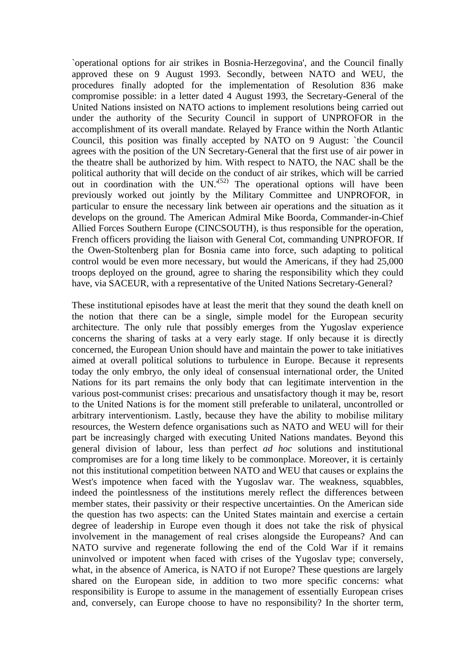`operational options for air strikes in Bosnia-Herzegovina', and the Council finally approved these on 9 August 1993. Secondly, between NATO and WEU, the procedures finally adopted for the implementation of Resolution 836 make compromise possible: in a letter dated 4 August 1993, the Secretary-General of the United Nations insisted on NATO actions to implement resolutions being carried out under the authority of the Security Council in support of UNPROFOR in the accomplishment of its overall mandate. Relayed by France within the North Atlantic Council, this position was finally accepted by NATO on 9 August: `the Council agrees with the position of the UN Secretary-General that the first use of air power in the theatre shall be authorized by him. With respect to NATO, the NAC shall be the political authority that will decide on the conduct of air strikes, which will be carried out in coordination with the  $UN.^{(52)}$  The operational options will have been previously worked out jointly by the Military Committee and UNPROFOR, in particular to ensure the necessary link between air operations and the situation as it develops on the ground. The American Admiral Mike Boorda, Commander-in-Chief Allied Forces Southern Europe (CINCSOUTH), is thus responsible for the operation, French officers providing the liaison with General Cot, commanding UNPROFOR. If the Owen-Stoltenberg plan for Bosnia came into force, such adapting to political control would be even more necessary, but would the Americans, if they had 25,000 troops deployed on the ground, agree to sharing the responsibility which they could have, via SACEUR, with a representative of the United Nations Secretary-General?

These institutional episodes have at least the merit that they sound the death knell on the notion that there can be a single, simple model for the European security architecture. The only rule that possibly emerges from the Yugoslav experience concerns the sharing of tasks at a very early stage. If only because it is directly concerned, the European Union should have and maintain the power to take initiatives aimed at overall political solutions to turbulence in Europe. Because it represents today the only embryo, the only ideal of consensual international order, the United Nations for its part remains the only body that can legitimate intervention in the various post-communist crises: precarious and unsatisfactory though it may be, resort to the United Nations is for the moment still preferable to unilateral, uncontrolled or arbitrary interventionism. Lastly, because they have the ability to mobilise military resources, the Western defence organisations such as NATO and WEU will for their part be increasingly charged with executing United Nations mandates. Beyond this general division of labour, less than perfect *ad hoc* solutions and institutional compromises are for a long time likely to be commonplace. Moreover, it is certainly not this institutional competition between NATO and WEU that causes or explains the West's impotence when faced with the Yugoslav war. The weakness, squabbles, indeed the pointlessness of the institutions merely reflect the differences between member states, their passivity or their respective uncertainties. On the American side the question has two aspects: can the United States maintain and exercise a certain degree of leadership in Europe even though it does not take the risk of physical involvement in the management of real crises alongside the Europeans? And can NATO survive and regenerate following the end of the Cold War if it remains uninvolved or impotent when faced with crises of the Yugoslav type; conversely, what, in the absence of America, is NATO if not Europe? These questions are largely shared on the European side, in addition to two more specific concerns: what responsibility is Europe to assume in the management of essentially European crises and, conversely, can Europe choose to have no responsibility? In the shorter term,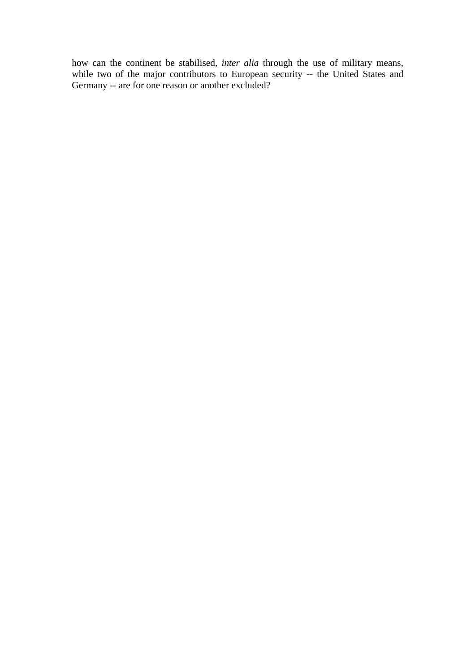how can the continent be stabilised, *inter alia* through the use of military means, while two of the major contributors to European security -- the United States and Germany -- are for one reason or another excluded?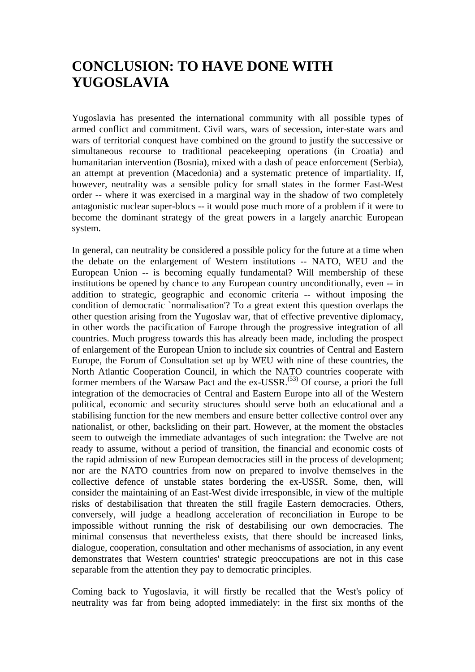### **CONCLUSION: TO HAVE DONE WITH YUGOSLAVIA**

Yugoslavia has presented the international community with all possible types of armed conflict and commitment. Civil wars, wars of secession, inter-state wars and wars of territorial conquest have combined on the ground to justify the successive or simultaneous recourse to traditional peacekeeping operations (in Croatia) and humanitarian intervention (Bosnia), mixed with a dash of peace enforcement (Serbia), an attempt at prevention (Macedonia) and a systematic pretence of impartiality. If, however, neutrality was a sensible policy for small states in the former East-West order -- where it was exercised in a marginal way in the shadow of two completely antagonistic nuclear super-blocs -- it would pose much more of a problem if it were to become the dominant strategy of the great powers in a largely anarchic European system.

In general, can neutrality be considered a possible policy for the future at a time when the debate on the enlargement of Western institutions -- NATO, WEU and the European Union -- is becoming equally fundamental? Will membership of these institutions be opened by chance to any European country unconditionally, even -- in addition to strategic, geographic and economic criteria -- without imposing the condition of democratic `normalisation'? To a great extent this question overlaps the other question arising from the Yugoslav war, that of effective preventive diplomacy, in other words the pacification of Europe through the progressive integration of all countries. Much progress towards this has already been made, including the prospect of enlargement of the European Union to include six countries of Central and Eastern Europe, the Forum of Consultation set up by WEU with nine of these countries, the North Atlantic Cooperation Council, in which the NATO countries cooperate with former members of the Warsaw Pact and the ex-USSR.<sup> $(53)$ </sup> Of course, a priori the full integration of the democracies of Central and Eastern Europe into all of the Western political, economic and security structures should serve both an educational and a stabilising function for the new members and ensure better collective control over any nationalist, or other, backsliding on their part. However, at the moment the obstacles seem to outweigh the immediate advantages of such integration: the Twelve are not ready to assume, without a period of transition, the financial and economic costs of the rapid admission of new European democracies still in the process of development; nor are the NATO countries from now on prepared to involve themselves in the collective defence of unstable states bordering the ex-USSR. Some, then, will consider the maintaining of an East-West divide irresponsible, in view of the multiple risks of destabilisation that threaten the still fragile Eastern democracies. Others, conversely, will judge a headlong acceleration of reconciliation in Europe to be impossible without running the risk of destabilising our own democracies. The minimal consensus that nevertheless exists, that there should be increased links, dialogue, cooperation, consultation and other mechanisms of association, in any event demonstrates that Western countries' strategic preoccupations are not in this case separable from the attention they pay to democratic principles.

Coming back to Yugoslavia, it will firstly be recalled that the West's policy of neutrality was far from being adopted immediately: in the first six months of the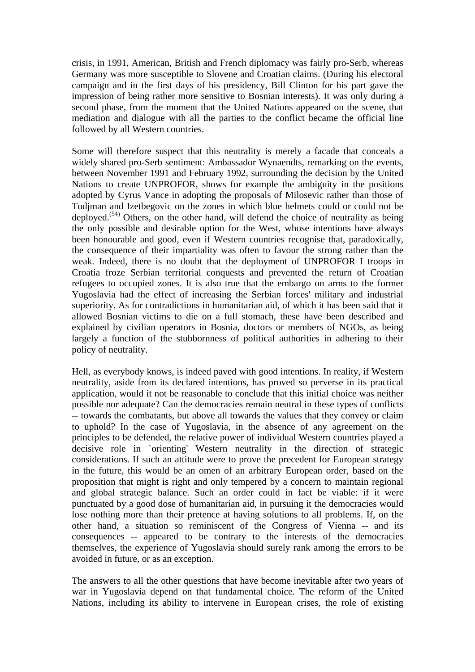crisis, in 1991, American, British and French diplomacy was fairly pro-Serb, whereas Germany was more susceptible to Slovene and Croatian claims. (During his electoral campaign and in the first days of his presidency, Bill Clinton for his part gave the impression of being rather more sensitive to Bosnian interests). It was only during a second phase, from the moment that the United Nations appeared on the scene, that mediation and dialogue with all the parties to the conflict became the official line followed by all Western countries.

Some will therefore suspect that this neutrality is merely a facade that conceals a widely shared pro-Serb sentiment: Ambassador Wynaendts, remarking on the events, between November 1991 and February 1992, surrounding the decision by the United Nations to create UNPROFOR, shows for example the ambiguity in the positions adopted by Cyrus Vance in adopting the proposals of Milosevic rather than those of Tudjman and Izetbegovic on the zones in which blue helmets could or could not be deployed.<sup> $(54)$ </sup> Others, on the other hand, will defend the choice of neutrality as being the only possible and desirable option for the West, whose intentions have always been honourable and good, even if Western countries recognise that, paradoxically, the consequence of their impartiality was often to favour the strong rather than the weak. Indeed, there is no doubt that the deployment of UNPROFOR I troops in Croatia froze Serbian territorial conquests and prevented the return of Croatian refugees to occupied zones. It is also true that the embargo on arms to the former Yugoslavia had the effect of increasing the Serbian forces' military and industrial superiority. As for contradictions in humanitarian aid, of which it has been said that it allowed Bosnian victims to die on a full stomach, these have been described and explained by civilian operators in Bosnia, doctors or members of NGOs, as being largely a function of the stubbornness of political authorities in adhering to their policy of neutrality.

Hell, as everybody knows, is indeed paved with good intentions. In reality, if Western neutrality, aside from its declared intentions, has proved so perverse in its practical application, would it not be reasonable to conclude that this initial choice was neither possible nor adequate? Can the democracies remain neutral in these types of conflicts -- towards the combatants, but above all towards the values that they convey or claim to uphold? In the case of Yugoslavia, in the absence of any agreement on the principles to be defended, the relative power of individual Western countries played a decisive role in `orienting' Western neutrality in the direction of strategic considerations. If such an attitude were to prove the precedent for European strategy in the future, this would be an omen of an arbitrary European order, based on the proposition that might is right and only tempered by a concern to maintain regional and global strategic balance. Such an order could in fact be viable: if it were punctuated by a good dose of humanitarian aid, in pursuing it the democracies would lose nothing more than their pretence at having solutions to all problems. If, on the other hand, a situation so reminiscent of the Congress of Vienna -- and its consequences -- appeared to be contrary to the interests of the democracies themselves, the experience of Yugoslavia should surely rank among the errors to be avoided in future, or as an exception.

The answers to all the other questions that have become inevitable after two years of war in Yugoslavia depend on that fundamental choice. The reform of the United Nations, including its ability to intervene in European crises, the role of existing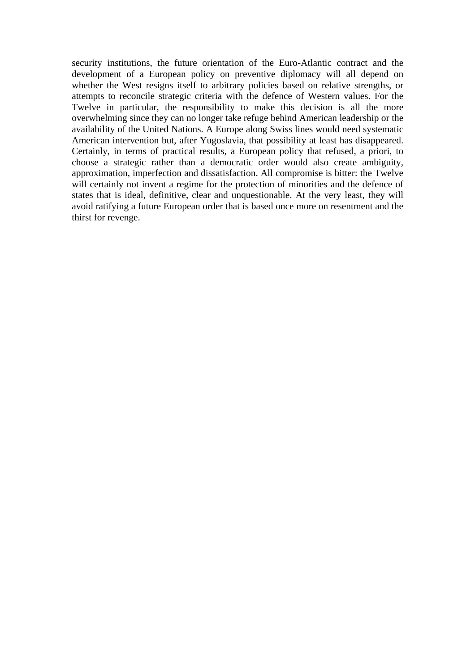security institutions, the future orientation of the Euro-Atlantic contract and the development of a European policy on preventive diplomacy will all depend on whether the West resigns itself to arbitrary policies based on relative strengths, or attempts to reconcile strategic criteria with the defence of Western values. For the Twelve in particular, the responsibility to make this decision is all the more overwhelming since they can no longer take refuge behind American leadership or the availability of the United Nations. A Europe along Swiss lines would need systematic American intervention but, after Yugoslavia, that possibility at least has disappeared. Certainly, in terms of practical results, a European policy that refused, a priori, to choose a strategic rather than a democratic order would also create ambiguity, approximation, imperfection and dissatisfaction. All compromise is bitter: the Twelve will certainly not invent a regime for the protection of minorities and the defence of states that is ideal, definitive, clear and unquestionable. At the very least, they will avoid ratifying a future European order that is based once more on resentment and the thirst for revenge.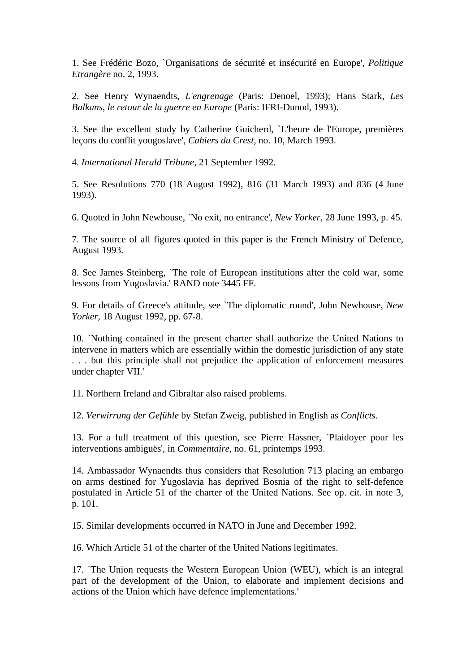1. See Frédéric Bozo, `Organisations de sécurité et insécurité en Europe', *Politique Etrangère* no. 2, 1993.

2. See Henry Wynaendts, *L'engrenage* (Paris: Denoel, 1993); Hans Stark, *Les Balkans, le retour de la guerre en Europe* (Paris: IFRI-Dunod, 1993).

3. See the excellent study by Catherine Guicherd, `L'heure de l'Europe, premières leçons du conflit yougoslave', *Cahiers du Crest*, no. 10, March 1993.

4. *International Herald Tribune*, 21 September 1992.

5. See Resolutions 770 (18 August 1992), 816 (31 March 1993) and 836 (4 June 1993).

6. Quoted in John Newhouse, `No exit, no entrance', *New Yorker*, 28 June 1993, p. 45.

7. The source of all figures quoted in this paper is the French Ministry of Defence, August 1993.

8. See James Steinberg, `The role of European institutions after the cold war, some lessons from Yugoslavia.' RAND note 3445 FF.

9. For details of Greece's attitude, see `The diplomatic round', John Newhouse, *New Yorker*, 18 August 1992, pp. 67-8.

10. `Nothing contained in the present charter shall authorize the United Nations to intervene in matters which are essentially within the domestic jurisdiction of any state . . . but this principle shall not prejudice the application of enforcement measures under chapter VII.'

11. Northern Ireland and Gibraltar also raised problems.

12. *Verwirrung der Gefühle* by Stefan Zweig, published in English as *Conflicts*.

13. For a full treatment of this question, see Pierre Hassner, `Plaidoyer pour les interventions ambiguës', in *Commentaire*, no. 61, printemps 1993.

14. Ambassador Wynaendts thus considers that Resolution 713 placing an embargo on arms destined for Yugoslavia has deprived Bosnia of the right to self-defence postulated in Article 51 of the charter of the United Nations. See op. cit. in note 3, p. 101.

15. Similar developments occurred in NATO in June and December 1992.

16. Which Article 51 of the charter of the United Nations legitimates.

17. `The Union requests the Western European Union (WEU), which is an integral part of the development of the Union, to elaborate and implement decisions and actions of the Union which have defence implementations.'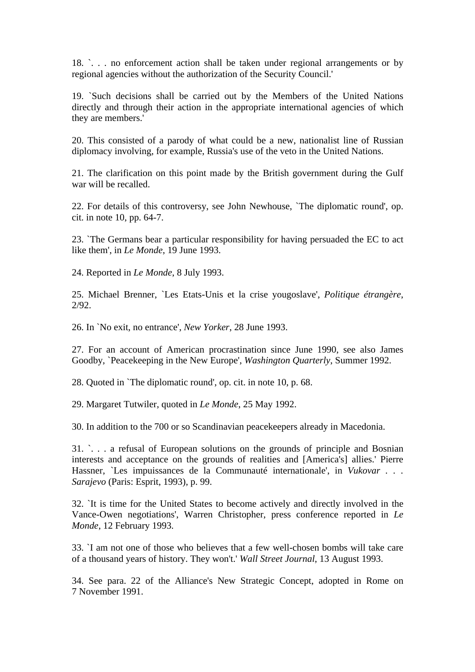18. `. . . no enforcement action shall be taken under regional arrangements or by regional agencies without the authorization of the Security Council.'

19. `Such decisions shall be carried out by the Members of the United Nations directly and through their action in the appropriate international agencies of which they are members.'

20. This consisted of a parody of what could be a new, nationalist line of Russian diplomacy involving, for example, Russia's use of the veto in the United Nations.

21. The clarification on this point made by the British government during the Gulf war will be recalled.

22. For details of this controversy, see John Newhouse, `The diplomatic round', op. cit. in note 10, pp. 64-7.

23. `The Germans bear a particular responsibility for having persuaded the EC to act like them', in *Le Monde*, 19 June 1993.

24. Reported in *Le Monde*, 8 July 1993.

25. Michael Brenner, `Les Etats-Unis et la crise yougoslave', *Politique étrangère*, 2/92.

26. In `No exit, no entrance', *New Yorker*, 28 June 1993.

27. For an account of American procrastination since June 1990, see also James Goodby, `Peacekeeping in the New Europe', *Washington Quarterly*, Summer 1992.

28. Quoted in `The diplomatic round', op. cit. in note 10, p. 68.

29. Margaret Tutwiler, quoted in *Le Monde*, 25 May 1992.

30. In addition to the 700 or so Scandinavian peacekeepers already in Macedonia.

31. `. . . a refusal of European solutions on the grounds of principle and Bosnian interests and acceptance on the grounds of realities and [America's] allies.' Pierre Hassner, `Les impuissances de la Communauté internationale', in *Vukovar . . . Sarajevo* (Paris: Esprit, 1993), p. 99.

32. `It is time for the United States to become actively and directly involved in the Vance-Owen negotiations', Warren Christopher, press conference reported in *Le Monde*, 12 February 1993.

33. `I am not one of those who believes that a few well-chosen bombs will take care of a thousand years of history. They won't.' *Wall Street Journal*, 13 August 1993.

34. See para. 22 of the Alliance's New Strategic Concept, adopted in Rome on 7 November 1991.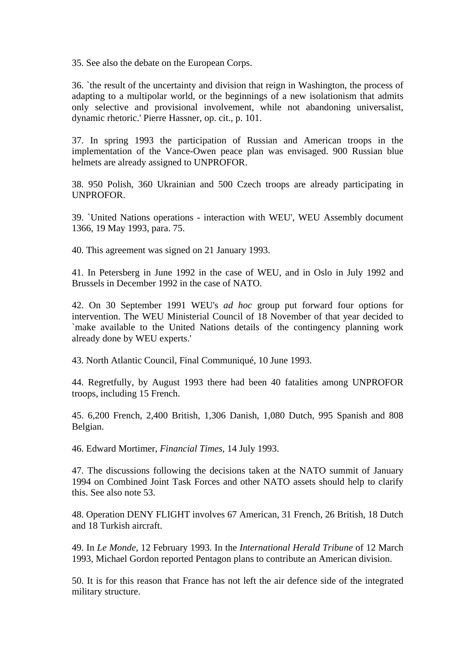35. See also the debate on the European Corps.

36. `the result of the uncertainty and division that reign in Washington, the process of adapting to a multipolar world, or the beginnings of a new isolationism that admits only selective and provisional involvement, while not abandoning universalist, dynamic rhetoric.' Pierre Hassner, op. cit., p. 101.

37. In spring 1993 the participation of Russian and American troops in the implementation of the Vance-Owen peace plan was envisaged. 900 Russian blue helmets are already assigned to UNPROFOR.

38. 950 Polish, 360 Ukrainian and 500 Czech troops are already participating in UNPROFOR.

39. `United Nations operations - interaction with WEU', WEU Assembly document 1366, 19 May 1993, para. 75.

40. This agreement was signed on 21 January 1993.

41. In Petersberg in June 1992 in the case of WEU, and in Oslo in July 1992 and Brussels in December 1992 in the case of NATO.

42. On 30 September 1991 WEU's *ad hoc* group put forward four options for intervention. The WEU Ministerial Council of 18 November of that year decided to `make available to the United Nations details of the contingency planning work already done by WEU experts.'

43. North Atlantic Council, Final Communiqué, 10 June 1993.

44. Regretfully, by August 1993 there had been 40 fatalities among UNPROFOR troops, including 15 French.

45. 6,200 French, 2,400 British, 1,306 Danish, 1,080 Dutch, 995 Spanish and 808 Belgian.

46. Edward Mortimer, *Financial Times*, 14 July 1993.

47. The discussions following the decisions taken at the NATO summit of January 1994 on Combined Joint Task Forces and other NATO assets should help to clarify this. See also note 53.

48. Operation DENY FLIGHT involves 67 American, 31 French, 26 British, 18 Dutch and 18 Turkish aircraft.

49. In *Le Monde*, 12 February 1993. In the *International Herald Tribune* of 12 March 1993, Michael Gordon reported Pentagon plans to contribute an American division.

50. It is for this reason that France has not left the air defence side of the integrated military structure.